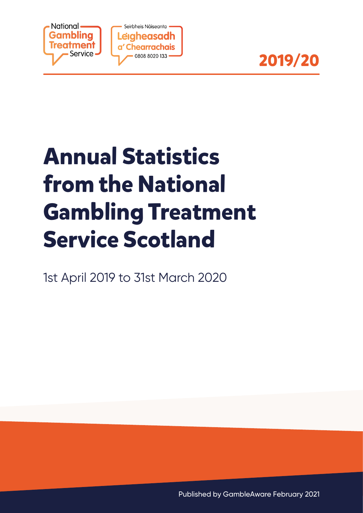



# **Annual Statistics from the National Gambling Treatment Service Scotland**

1st April 2019 to 31st March 2020

Published by GambleAware February 2021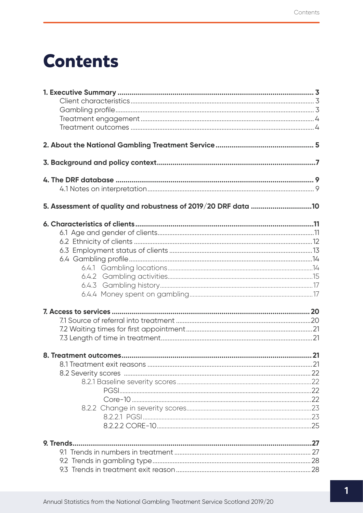# **Contents**

| 5. Assessment of quality and robustness of 2019/20 DRF data 10 |  |
|----------------------------------------------------------------|--|
|                                                                |  |
|                                                                |  |
|                                                                |  |
|                                                                |  |
|                                                                |  |
|                                                                |  |
|                                                                |  |
|                                                                |  |
|                                                                |  |
|                                                                |  |
|                                                                |  |
|                                                                |  |
|                                                                |  |
|                                                                |  |
|                                                                |  |
|                                                                |  |
|                                                                |  |
|                                                                |  |
|                                                                |  |
|                                                                |  |
|                                                                |  |
|                                                                |  |
|                                                                |  |
|                                                                |  |
|                                                                |  |
|                                                                |  |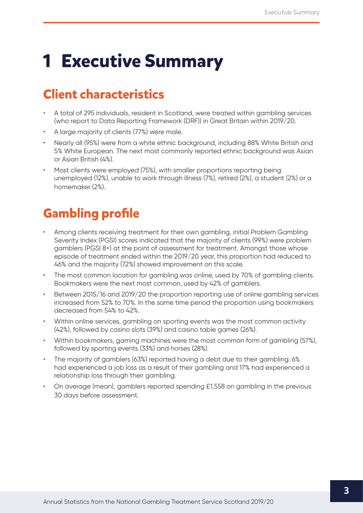# <span id="page-3-0"></span>**1 Executive Summary**

# **Client characteristics**

- A total of 295 individuals, resident in Scotland, were treated within gambling services (who report to Data Reporting Framework (DRF)) in Great Britain within 2019/20.
- A large majority of clients (77%) were male.
- Nearly all (95%) were from a white ethnic background, including 88% White British and 5% White European. The next most commonly reported ethnic background was Asian or Asian British (4%).
- Most clients were employed (75%), with smaller proportions reporting being unemployed (12%), unable to work through illness (7%), retired (2%), a student (2%) or a homemaker (2%).

# **Gambling profile**

- Among clients receiving treatment for their own gambling, initial Problem Gambling Severity Index (PGSI) scores indicated that the majority of clients (99%) were problem gamblers (PGSI 8+) at the point of assessment for treatment. Amongst those whose episode of treatment ended within the 2019/20 year, this proportion had reduced to 46% and the majority (72%) showed improvement on this scale.
- The most common location for gambling was online, used by 70% of gambling clients. Bookmakers were the next most common, used by 42% of gamblers.
- Between 2015/16 and 2019/20 the proportion reporting use of online gambling services increased from 52% to 70%. In the same time period the proportion using bookmakers decreased from 54% to 42%.
- Within online services, gambling on sporting events was the most common activity (42%), followed by casino slots (39%) and casino table games (26%).
- Within bookmakers, gaming machines were the most common form of gambling (57%), followed by sporting events (33%) and horses (28%).
- The majority of gamblers (63%) reported having a debt due to their gambling. 6% had experienced a job loss as a result of their gambling and 17% had experienced a relationship loss through their gambling.
- On average (mean), gamblers reported spending £1,558 on gambling in the previous 30 days before assessment.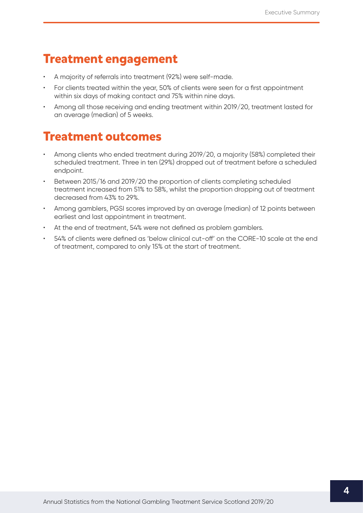## <span id="page-4-0"></span>**Treatment engagement**

- A majority of referrals into treatment (92%) were self-made.
- For clients treated within the year, 50% of clients were seen for a first appointment within six days of making contact and 75% within nine days.
- Among all those receiving and ending treatment within 2019/20, treatment lasted for an average (median) of 5 weeks.

## **Treatment outcomes**

- Among clients who ended treatment during 2019/20, a majority (58%) completed their scheduled treatment. Three in ten (29%) dropped out of treatment before a scheduled endpoint.
- Between 2015/16 and 2019/20 the proportion of clients completing scheduled treatment increased from 51% to 58%, whilst the proportion dropping out of treatment decreased from 43% to 29%.
- Among gamblers, PGSI scores improved by an average (median) of 12 points between earliest and last appointment in treatment.
- At the end of treatment, 54% were not defined as problem gamblers.
- 54% of clients were defined as 'below clinical cut-off' on the CORE-10 scale at the end of treatment, compared to only 15% at the start of treatment.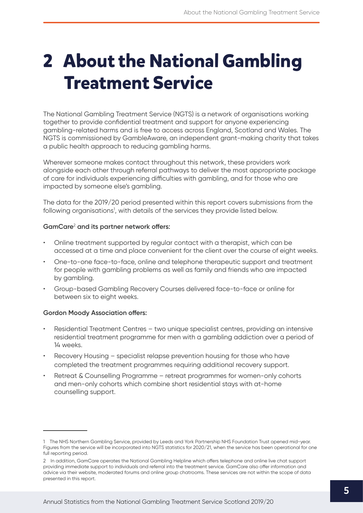# <span id="page-5-0"></span>**2 About the National Gambling Treatment Service**

The National Gambling Treatment Service (NGTS) is a network of organisations working together to provide confidential treatment and support for anyone experiencing gambling-related harms and is free to access across England, Scotland and Wales. The NGTS is commissioned by GambleAware, an independent grant-making charity that takes a public health approach to reducing gambling harms.

Wherever someone makes contact throughout this network, these providers work alongside each other through referral pathways to deliver the most appropriate package of care for individuals experiencing difficulties with gambling, and for those who are impacted by someone else's gambling.

The data for the 2019/20 period presented within this report covers submissions from the following organisations<sup>1</sup>, with details of the services they provide listed below.

### **GamCare**<sup>2</sup>  **and its partner network offers:**

- Online treatment supported by regular contact with a therapist, which can be accessed at a time and place convenient for the client over the course of eight weeks.
- One-to-one face-to-face, online and telephone therapeutic support and treatment for people with gambling problems as well as family and friends who are impacted by gambling.
- Group-based Gambling Recovery Courses delivered face-to-face or online for between six to eight weeks.

### **Gordon Moody Association offers:**

- Residential Treatment Centres two unique specialist centres, providing an intensive residential treatment programme for men with a gambling addiction over a period of 14 weeks.
- Recovery Housing specialist relapse prevention housing for those who have completed the treatment programmes requiring additional recovery support.
- Retreat & Counselling Programme retreat programmes for women-only cohorts and men-only cohorts which combine short residential stays with at-home counselling support.

<sup>1</sup> The NHS Northern Gambling Service, provided by Leeds and York Partnership NHS Foundation Trust opened mid-year. Figures from the service will be incorporated into NGTS statistics for 2020/21, when the service has been operational for one full reporting period.

<sup>2</sup> In addition, GamCare operates the National Gambling Helpline which offers telephone and online live chat support providing immediate support to individuals and referral into the treatment service. GamCare also offer information and advice via their website, moderated forums and online group chatrooms. These services are not within the scope of data presented in this report.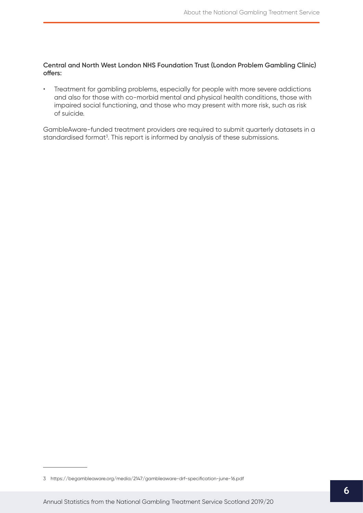#### **Central and North West London NHS Foundation Trust (London Problem Gambling Clinic) offers:**

• Treatment for gambling problems, especially for people with more severe addictions and also for those with co-morbid mental and physical health conditions, those with impaired social functioning, and those who may present with more risk, such as risk of suicide.

GambleAware-funded treatment providers are required to submit quarterly datasets in a standardised format<sup>3</sup>. This report is informed by analysis of these submissions.

<sup>3</sup> <https://begambleaware.org/media/2147/gambleaware-drf-specification-june-16.pdf>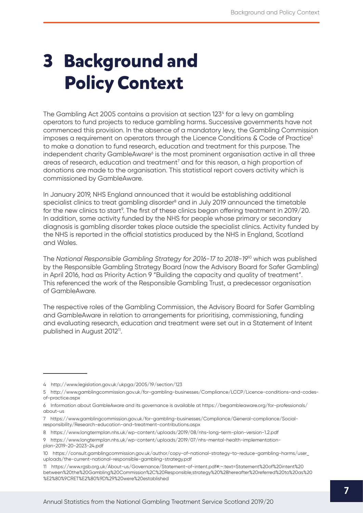# <span id="page-7-0"></span>**3 Background and Policy Context**

The Gambling Act 2005 contains a provision at section 1234 for a levy on gambling operators to fund projects to reduce gambling harms. Successive governments have not commenced this provision. In the absence of a mandatory levy, the Gambling Commission imposes a requirement on operators through the Licence Conditions  $\&$  Code of Practice<sup>5</sup> to make a donation to fund research, education and treatment for this purpose. The independent charity GambleAware<sup>6</sup> is the most prominent organisation active in all three areas of research, education and treatment<sup>7</sup> and for this reason, a high proportion of donations are made to the organisation. This statistical report covers activity which is commissioned by GambleAware.

In January 2019, NHS England announced that it would be establishing additional specialist clinics to treat gambling disorder<sup>8</sup> and in July 2019 announced the timetable for the new clinics to start<sup>o</sup>. The first of these clinics began offering treatment in 2019/20. In addition, some activity funded by the NHS for people whose primary or secondary diagnosis is gambling disorder takes place outside the specialist clinics. Activity funded by the NHS is reported in the official statistics produced by the NHS in England, Scotland and Wales.

The *National Responsible Gambling Strategy for 2016-17 to 2018-19*10 which was published by the Responsible Gambling Strategy Board (now the Advisory Board for Safer Gambling) in April 2016, had as Priority Action 9 "Building the capacity and quality of treatment". This referenced the work of the Responsible Gambling Trust, a predecessor organisation of GambleAware.

The respective roles of the Gambling Commission, the Advisory Board for Safer Gambling and GambleAware in relation to arrangements for prioritising, commissioning, funding and evaluating research, education and treatment were set out in a Statement of Intent published in August 2012<sup>11</sup>.

<sup>4</sup> <http://www.legislation.gov.uk/ukpga/2005/19/section/123>

<sup>5</sup> [http://www.gamblingcommission.gov.uk/for-gambling-businesses/Compliance/LCCP/Licence-conditions-and-codes](http://www.gamblingcommission.gov.uk/for-gambling-businesses/Compliance/LCCP/Licence-conditions-and-codes-of-practice.aspx)[of-practice.aspx](http://www.gamblingcommission.gov.uk/for-gambling-businesses/Compliance/LCCP/Licence-conditions-and-codes-of-practice.aspx)

<sup>6</sup> Information about GambleAware and its governance is available at [https://begambleaware.org/f](https://begambleaware.org/for-professionals/about-us)or-professionals/ about-us

<sup>7</sup> [https://www.gamblingcommission.gov.uk/for-gambling-businesses/Compliance/General-compliance/Social](https://www.gamblingcommission.gov.uk/for-gambling-businesses/Compliance/General-compliance/Social-responsibility/Research-education-and-treatment-contributions.aspx)[responsibility/Research-education-and-treatment-contributions.aspx](https://www.gamblingcommission.gov.uk/for-gambling-businesses/Compliance/General-compliance/Social-responsibility/Research-education-and-treatment-contributions.aspx)

<sup>8</sup> <https://www.longtermplan.nhs.uk/wp-content/uploads/2019/08/nhs-long-term-plan-version-1.2.pdf>

<sup>9</sup> [https://www.longtermplan.nhs.uk/wp-content/uploads/2019/07/nhs-mental-health-implementation](https://www.longtermplan.nhs.uk/wp-content/uploads/2019/07/nhs-mental-health-implementation-plan-2019-20-2023-24.pdf)[plan-2019-20-2023-24.pdf](https://www.longtermplan.nhs.uk/wp-content/uploads/2019/07/nhs-mental-health-implementation-plan-2019-20-2023-24.pdf)

<sup>10</sup> [https://consult.gamblingcommission.gov.uk/author/copy-of-national-strategy-to-reduce-gambling-harms/user\\_](https://consult.gamblingcommission.gov.uk/author/copy-of-national-strategy-to-reduce-gambling-harms/user_uploads/the-current-national-responsible-gambling-strategy.pdf) [uploads/the-current-national-responsible-gambling-strategy.pdf](https://consult.gamblingcommission.gov.uk/author/copy-of-national-strategy-to-reduce-gambling-harms/user_uploads/the-current-national-responsible-gambling-strategy.pdf)

<sup>11</sup> [https://www.rgsb.org.uk/About-us/Governance/Statement-of-intent.pdf#:~:text=Statement%20of%20intent%20](https://www.rgsb.org.uk/About-us/Governance/Statement-of-intent.pdf#:~:text=Statement%20of%20intent%20between%20the%20Gambling%20Commission%2C%20Responsible,strategy%20%28hereafter%20referred%20to%20as%20%E2%80%9CRET%E2%80%9D%29%20were%20established) [between%20the%20Gambling%20Commission%2C%20Responsible,strategy%20%28hereafter%20referred%20to%20as%20](https://www.rgsb.org.uk/About-us/Governance/Statement-of-intent.pdf#:~:text=Statement%20of%20intent%20between%20the%20Gambling%20Commission%2C%20Responsible,strategy%20%28hereafter%20referred%20to%20as%20%E2%80%9CRET%E2%80%9D%29%20were%20established) [%E2%80%9CRET%E2%80%9D%29%20were%20established](https://www.rgsb.org.uk/About-us/Governance/Statement-of-intent.pdf#:~:text=Statement%20of%20intent%20between%20the%20Gambling%20Commission%2C%20Responsible,strategy%20%28hereafter%20referred%20to%20as%20%E2%80%9CRET%E2%80%9D%29%20were%20established)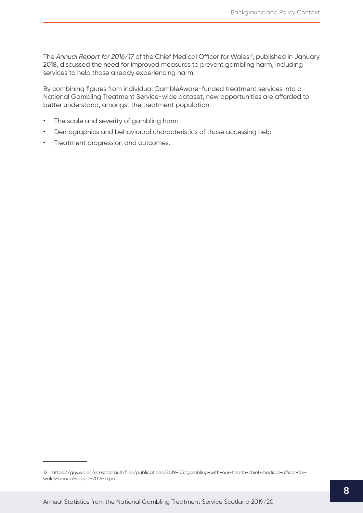The Annual Report for 2016/17 of the Chief Medical Officer for Wales<sup>12</sup>, published in January 2018, discussed the need for improved measures to prevent gambling harm, including services to help those already experiencing harm.

By combining figures from individual GambleAware-funded treatment services into a National Gambling Treatment Service-wide dataset, new opportunities are afforded to better understand, amongst the treatment population:

- The scale and severity of gambling harm
- Demographics and behavioural characteristics of those accessing help
- Treatment progression and outcomes.

<sup>12</sup> [https://gov.wales/sites/default/files/publications/2019-03/gambling-with-our-health-chief-medical-officer-for](https://gov.wales/sites/default/files/publications/2019-03/gambling-with-our-health-chief-medical-officer-for-wales-annual-report-2016-17.pdf)[wales-annual-report-2016-17.pdf](https://gov.wales/sites/default/files/publications/2019-03/gambling-with-our-health-chief-medical-officer-for-wales-annual-report-2016-17.pdf)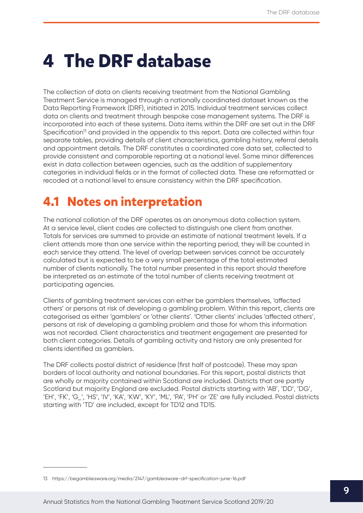# <span id="page-9-0"></span>**4 The DRF database**

The collection of data on clients receiving treatment from the National Gambling Treatment Service is managed through a nationally coordinated dataset known as the Data Reporting Framework (DRF), initiated in 2015. Individual treatment services collect data on clients and treatment through bespoke case management systems. The DRF is incorporated into each of these systems. Data items within the DRF are set out in the DRF Specification<sup>13</sup> and provided in the appendix to this report. Data are collected within four separate tables, providing details of client characteristics, gambling history, referral details and appointment details. The DRF constitutes a coordinated core data set, collected to provide consistent and comparable reporting at a national level. Some minor differences exist in data collection between agencies, such as the addition of supplementary categories in individual fields or in the format of collected data. These are reformatted or recoded at a national level to ensure consistency within the DRF specification.

# **4.1 Notes on interpretation**

The national collation of the DRF operates as an anonymous data collection system. At a service level, client codes are collected to distinguish one client from another. Totals for services are summed to provide an estimate of national treatment levels. If a client attends more than one service within the reporting period, they will be counted in each service they attend. The level of overlap between services cannot be accurately calculated but is expected to be a very small percentage of the total estimated number of clients nationally. The total number presented in this report should therefore be interpreted as an estimate of the total number of clients receiving treatment at participating agencies.

Clients of gambling treatment services can either be gamblers themselves, 'affected others' or persons at risk of developing a gambling problem. Within this report, clients are categorised as either 'gamblers' or 'other clients'. 'Other clients' includes 'affected others', persons at risk of developing a gambling problem and those for whom this information was not recorded. Client characteristics and treatment engagement are presented for both client categories. Details of gambling activity and history are only presented for clients identified as gamblers.

The DRF collects postal district of residence (first half of postcode). These may span borders of local authority and national boundaries. For this report, postal districts that are wholly or majority contained within Scotland are included. Districts that are partly Scotland but majority England are excluded. Postal districts starting with 'AB', 'DD', 'DG', 'EH', 'FK', 'G\_', 'HS', 'IV', 'KA', 'KW', 'KY', 'ML', 'PA', 'PH' or 'ZE' are fully included. Postal districts starting with 'TD' are included, except for TD12 and TD15.

<sup>13</sup> [https://begambleaware.org/media/2147/gambleaware-drf-specification-june-16.pdf](https://begambleaware.org/for-professionals/about-us)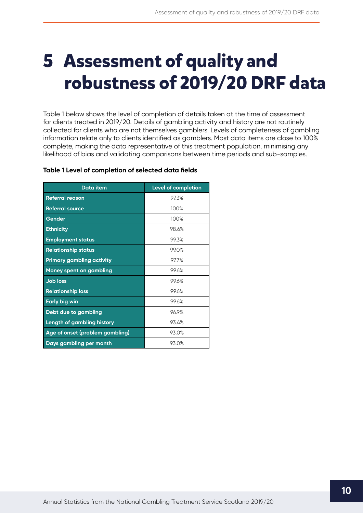# <span id="page-10-0"></span>**5 Assessment of quality and robustness of 2019/20 DRF data**

Table 1 below shows the level of completion of details taken at the time of assessment for clients treated in 2019/20. Details of gambling activity and history are not routinely collected for clients who are not themselves gamblers. Levels of completeness of gambling information relate only to clients identified as gamblers. Most data items are close to 100% complete, making the data representative of this treatment population, minimising any likelihood of bias and validating comparisons between time periods and sub-samples.

| <b>Data item</b>                | <b>Level of completion</b> |
|---------------------------------|----------------------------|
| <b>Referral reason</b>          | 97.3%                      |
| <b>Referral source</b>          | 100%                       |
| Gender                          | 100%                       |
| <b>Ethnicity</b>                | 98.6%                      |
| <b>Employment status</b>        | 99.3%                      |
| <b>Relationship status</b>      | 99.0%                      |
| Primary gambling activity       | 97.7%                      |
| <b>Money spent on gambling</b>  | 99.6%                      |
| <b>Job loss</b>                 | 99.6%                      |
| <b>Relationship loss</b>        | 99.6%                      |
| <b>Early big win</b>            | 99.6%                      |
| Debt due to gambling            | 96.9%                      |
| Length of gambling history      | 93.4%                      |
| Age of onset (problem gambling) | 93.0%                      |
| Days gambling per month         | 93.0%                      |

#### **Table 1 Level of completion of selected data fields**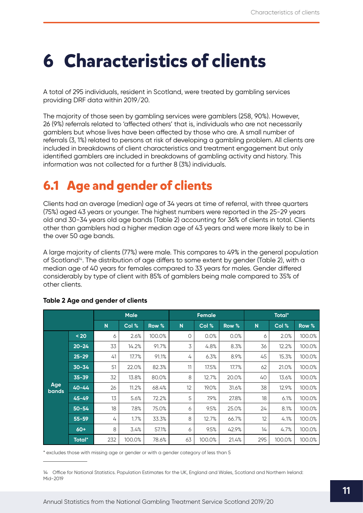# <span id="page-11-0"></span>**6 Characteristics of clients**

A total of 295 individuals, resident in Scotland, were treated by gambling services providing DRF data within 2019/20.

The majority of those seen by gambling services were gamblers (258, 90%). However, 26 (9%) referrals related to 'affected others' that is, individuals who are not necessarily gamblers but whose lives have been affected by those who are. A small number of referrals (3, 1%) related to persons at risk of developing a gambling problem. All clients are included in breakdowns of client characteristics and treatment engagement but only identified gamblers are included in breakdowns of gambling activity and history. This information was not collected for a further 8 (3%) individuals.

# **6.1 Age and gender of clients**

Clients had an average (median) age of 34 years at time of referral, with three quarters (75%) aged 43 years or younger. The highest numbers were reported in the 25-29 years old and 30-34 years old age bands (Table 2) accounting for 36% of clients in total. Clients other than gamblers had a higher median age of 43 years and were more likely to be in the over 50 age bands.

A large majority of clients (77%) were male. This compares to 49% in the general population of Scotland<sup>14</sup>. The distribution of age differs to some extent by gender (Table 2), with a median age of 40 years for females compared to 33 years for males. Gender differed considerably by type of client with 85% of gamblers being male compared to 35% of other clients.

|                     |           |     | <b>Male</b> |        |    | <b>Female</b> |       |     | <b>Total*</b> |        |
|---------------------|-----------|-----|-------------|--------|----|---------------|-------|-----|---------------|--------|
|                     |           | N   | Col %       | Row %  | N  | Col %         | Row % | N   | Col %         | Row %  |
|                     | $20$      | 6   | 2.6%        | 100.0% | 0  | 0.0%          | 0.0%  | 6   | 2.0%          | 100.0% |
|                     | $20 - 24$ | 33  | 14.2%       | 91.7%  | 3  | 4.8%          | 8.3%  | 36  | 12.2%         | 100.0% |
|                     | $25 - 29$ | 41  | 17.7%       | 91.1%  | 4  | 6.3%          | 8.9%  | 45  | 15.3%         | 100.0% |
|                     | $30 - 34$ | 51  | 22.0%       | 82.3%  | 11 | 17.5%         | 17.7% | 62  | 21.0%         | 100.0% |
|                     | $35 - 39$ | 32  | 13.8%       | 80.0%  | 8  | 12.7%         | 20.0% | 40  | 13.6%         | 100.0% |
| Age<br><b>bands</b> | $40 - 44$ | 26  | 11.2%       | 68.4%  | 12 | 19.0%         | 31.6% | 38  | 12.9%         | 100.0% |
|                     | $45 - 49$ | 13  | 5.6%        | 72.2%  | 5  | 7.9%          | 27.8% | 18  | 6.1%          | 100.0% |
|                     | $50 - 54$ | 18  | 7.8%        | 75.0%  | 6  | 9.5%          | 25.0% | 24  | 8.1%          | 100.0% |
|                     | $55 - 59$ | 4   | 1.7%        | 33.3%  | 8  | 12.7%         | 66.7% | 12  | 4.1%          | 100.0% |
|                     | $60+$     | 8   | 3.4%        | 57.1%  | 6  | 9.5%          | 42.9% | 14  | 4.7%          | 100.0% |
|                     | Total*    | 232 | 100.0%      | 78.6%  | 63 | 100.0%        | 21.4% | 295 | 100.0%        | 100.0% |

#### **Table 2 Age and gender of clients**

\* excludes those with missing age or gender or with a gender category of less than 5

14 Office for National Statistics. Population Estimates for the UK, England and Wales, Scotland and Northern Ireland: Mid-2019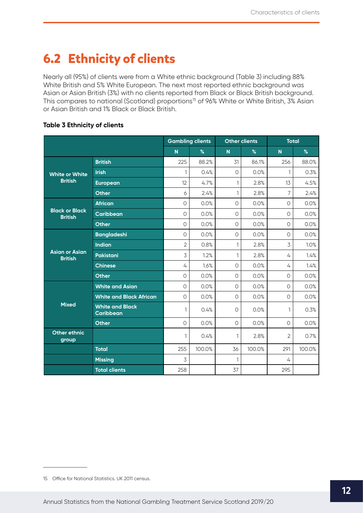# <span id="page-12-0"></span>**6.2 Ethnicity of clients**

Nearly all (95%) of clients were from a White ethnic background (Table 3) including 88% White British and 5% White European. The next most reported ethnic background was Asian or Asian British (3%) with no clients reported from Black or Black British background. This compares to national (Scotland) proportions<sup>15</sup> of 96% White or White British, 3% Asian or Asian British and 1% Black or Black British.

|                                         |                                            | <b>Gambling clients</b> |        | <b>Other clients</b> |        | <b>Total</b>            |        |
|-----------------------------------------|--------------------------------------------|-------------------------|--------|----------------------|--------|-------------------------|--------|
|                                         |                                            | N                       | $\%$   | $\mathsf{N}$         | $\%$   | $\overline{\mathsf{N}}$ | %      |
| <b>White or White</b><br><b>British</b> | <b>British</b>                             | 225                     | 88.2%  | 31                   | 86.1%  | 256                     | 88.0%  |
|                                         | <b>Irish</b>                               | 1                       | 0.4%   | $\Omega$             | 0.0%   | 1                       | 0.3%   |
|                                         | <b>European</b>                            | 12                      | 4.7%   | $\mathbf{1}$         | 2.8%   | 13                      | 4.5%   |
|                                         | <b>Other</b>                               | 6                       | 2.4%   | $\mathbf{1}$         | 2.8%   | 7                       | 2.4%   |
|                                         | <b>African</b>                             | 0                       | 0.0%   | $\circ$              | 0.0%   | $\circ$                 | 0.0%   |
| <b>Black or Black</b><br><b>British</b> | <b>Caribbean</b>                           | 0                       | 0.0%   | $\circ$              | 0.0%   | $\circ$                 | 0.0%   |
|                                         | <b>Other</b>                               | $\circ$                 | 0.0%   | $\circ$              | 0.0%   | $\circ$                 | 0.0%   |
|                                         | <b>Bangladeshi</b>                         | $\circ$                 | 0.0%   | $\circ$              | 0.0%   | $\circ$                 | 0.0%   |
|                                         | <b>Indian</b>                              | $\overline{2}$          | 0.8%   | $\mathbf{1}$         | 2.8%   | $\overline{3}$          | 1.0%   |
| <b>Asian or Asian</b><br><b>British</b> | Pakistani                                  | 3                       | 1.2%   | 1                    | 2.8%   | 4                       | 1.4%   |
|                                         | <b>Chinese</b>                             | 4                       | 1.6%   | $\circ$              | 0.0%   | 4                       | 1.4%   |
|                                         | <b>Other</b>                               | $\circ$                 | 0.0%   | $\overline{O}$       | 0.0%   | $\Omega$                | 0.0%   |
|                                         | <b>White and Asian</b>                     | $\circ$                 | 0.0%   | $\bigcirc$           | 0.0%   | $\circ$                 | 0.0%   |
|                                         | <b>White and Black African</b>             | $\circ$                 | 0.0%   | $\circ$              | 0.0%   | $\circ$                 | 0.0%   |
| <b>Mixed</b>                            | <b>White and Black</b><br><b>Caribbean</b> | 1                       | 0.4%   | $\circ$              | 0.0%   | 1                       | 0.3%   |
|                                         | <b>Other</b>                               | $\circ$                 | 0.0%   | $\circ$              | 0.0%   | $\circ$                 | 0.0%   |
| <b>Other ethnic</b><br>group            |                                            | 1                       | 0.4%   | 1                    | 2.8%   | $\overline{2}$          | 0.7%   |
|                                         | <b>Total</b>                               | 255                     | 100.0% | 36                   | 100.0% | 291                     | 100.0% |
|                                         | <b>Missing</b>                             | 3                       |        | 1                    |        | 4                       |        |
|                                         | <b>Total clients</b>                       | 258                     |        | 37                   |        | 295                     |        |

<sup>15</sup> Office for National Statistics. UK 2011 census.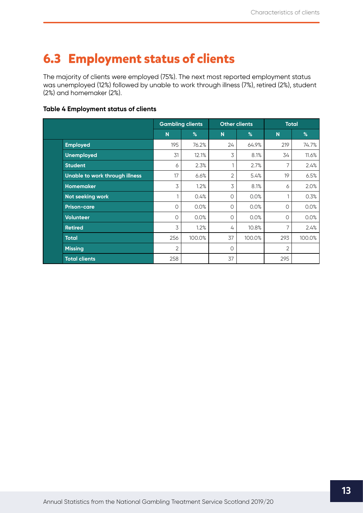# <span id="page-13-0"></span>**6.3 Employment status of clients**

The majority of clients were employed (75%). The next most reported employment status was unemployed (12%) followed by unable to work through illness (7%), retired (2%), student (2%) and homemaker (2%).

#### **Table 4 Employment status of clients**

|                                |                | <b>Gambling clients</b> |    | <b>Other clients</b> |                | <b>Total</b> |
|--------------------------------|----------------|-------------------------|----|----------------------|----------------|--------------|
|                                | N              | %                       | N  | %                    | $\overline{N}$ | %            |
| <b>Employed</b>                | 195            | 76.2%                   | 24 | 64.9%                | 219            | 74.7%        |
| <b>Unemployed</b>              | 31             | 12.1%                   | 3  | 8.1%                 | 34             | 11.6%        |
| <b>Student</b>                 | 6              | 2.3%                    | 1  | 2.7%                 | 7              | 2.4%         |
| Unable to work through illness | 17             | 6.6%                    | 2  | 5.4%                 | 19             | 6.5%         |
| <b>Homemaker</b>               | 3              | 1.2%                    | 3  | 8.1%                 | 6              | 2.0%         |
| Not seeking work               |                | 0.4%                    | 0  | 0.0%                 | 1              | 0.3%         |
| <b>Prison-care</b>             | 0              | 0.0%                    | 0  | 0.0%                 | 0              | 0.0%         |
| <b>Volunteer</b>               | 0              | 0.0%                    | 0  | 0.0%                 | 0              | 0.0%         |
| <b>Retired</b>                 | 3              | 1.2%                    | 4  | 10.8%                | 7              | 2.4%         |
| <b>Total</b>                   | 256            | 100.0%                  | 37 | 100.0%               | 293            | 100.0%       |
| <b>Missing</b>                 | $\overline{2}$ |                         | O  |                      | 2              |              |
| <b>Total clients</b>           | 258            |                         | 37 |                      | 295            |              |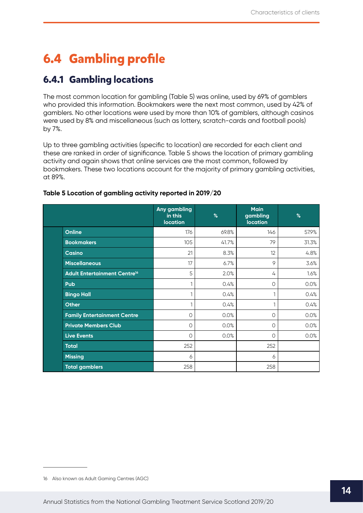# <span id="page-14-0"></span>**6.4 Gambling profile**

## **6.4.1 Gambling locations**

The most common location for gambling (Table 5) was online, used by 69% of gamblers who provided this information. Bookmakers were the next most common, used by 42% of gamblers. No other locations were used by more than 10% of gamblers, although casinos were used by 8% and miscellaneous (such as lottery, scratch-cards and football pools) by 7%.

Up to three gambling activities (specific to location) are recorded for each client and these are ranked in order of significance. Table 5 shows the location of primary gambling activity and again shows that online services are the most common, followed by bookmakers. These two locations account for the majority of primary gambling activities, at 89%.

|                                          | Any gambling<br>in this<br><b>location</b> | %     | <b>Main</b><br>gambling<br><b>location</b> | $\%$  |
|------------------------------------------|--------------------------------------------|-------|--------------------------------------------|-------|
| <b>Online</b>                            | 176                                        | 69.8% | 146                                        | 57.9% |
| <b>Bookmakers</b>                        | 105                                        | 41.7% | 79                                         | 31.3% |
| <b>Casino</b>                            | 21                                         | 8.3%  | 12                                         | 4.8%  |
| <b>Miscellaneous</b>                     | 17                                         | 6.7%  | 9                                          | 3.6%  |
| Adult Entertainment Centre <sup>16</sup> | 5                                          | 2.0%  | 4                                          | 1.6%  |
| Pub                                      |                                            | 0.4%  | 0                                          | 0.0%  |
| <b>Bingo Hall</b>                        |                                            | 0.4%  | 1                                          | 0.4%  |
| <b>Other</b>                             |                                            | 0.4%  | 1                                          | 0.4%  |
| <b>Family Entertainment Centre</b>       | 0                                          | 0.0%  | 0                                          | 0.0%  |
| <b>Private Members Club</b>              | 0                                          | 0.0%  | 0                                          | 0.0%  |
| <b>Live Events</b>                       | $\circ$                                    | 0.0%  | 0                                          | 0.0%  |
| <b>Total</b>                             | 252                                        |       | 252                                        |       |
| <b>Missing</b>                           | 6                                          |       | 6                                          |       |
| <b>Total gamblers</b>                    | 258                                        |       | 258                                        |       |

### **Table 5 Location of gambling activity reported in 2019/20**<sup>16</sup>

<sup>16</sup> Also known as Adult Gaming Centres (AGC)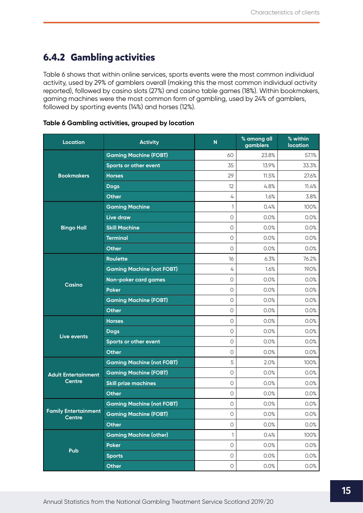## <span id="page-15-0"></span>**6.4.2 Gambling activities**

Table 6 shows that within online services, sports events were the most common individual activity, used by 29% of gamblers overall (making this the most common individual activity reported), followed by casino slots (27%) and casino table games (18%). Within bookmakers, gaming machines were the most common form of gambling, used by 24% of gamblers, followed by sporting events (14%) and horses (12%).

| <b>Location</b>                              | <b>Activity</b>                  | $\mathsf{N}$        | % among all<br>gamblers | % within<br><b>location</b> |
|----------------------------------------------|----------------------------------|---------------------|-------------------------|-----------------------------|
|                                              | <b>Gaming Machine (FOBT)</b>     | 60                  | 23.8%                   | 57.1%                       |
|                                              | Sports or other event            | 35                  | 13.9%                   | 33.3%                       |
| <b>Bookmakers</b>                            | <b>Horses</b>                    | 29                  | 11.5%                   | 27.6%                       |
|                                              | <b>Dogs</b>                      | 12                  | 4.8%                    | 11.4%                       |
|                                              | <b>Other</b>                     | 4                   | 1.6%                    | 3.8%                        |
|                                              | <b>Gaming Machine</b>            | 1                   | 0.4%                    | 100%                        |
|                                              | Live draw                        | 0                   | 0.0%                    | 0.0%                        |
| <b>Bingo Hall</b>                            | <b>Skill Machine</b>             | $\circ$             | 0.0%                    | 0.0%                        |
|                                              | <b>Terminal</b>                  | $\circlearrowright$ | 0.0%                    | 0.0%                        |
|                                              | <b>Other</b>                     | $\circ$             | 0.0%                    | 0.0%                        |
|                                              | <b>Roulette</b>                  | 16                  | 6.3%                    | 76.2%                       |
| Casino                                       | <b>Gaming Machine (not FOBT)</b> | 4                   | 1.6%                    | 19.0%                       |
|                                              | Non-poker card games             | $\circ$             | 0.0%                    | 0.0%                        |
|                                              | <b>Poker</b>                     | $\circ$             | 0.0%                    | 0.0%                        |
|                                              | <b>Gaming Machine (FOBT)</b>     | $\circlearrowright$ | 0.0%                    | 0.0%                        |
|                                              | <b>Other</b>                     | $\circ$             | 0.0%                    | 0.0%                        |
|                                              | <b>Horses</b>                    | $\circ$             | 0.0%                    | 0.0%                        |
| Live events                                  | <b>Dogs</b>                      | $\circ$             | 0.0%                    | 0.0%                        |
|                                              | Sports or other event            | 0                   | 0.0%                    | 0.0%                        |
|                                              | <b>Other</b>                     | $\circ$             | 0.0%                    | 0.0%                        |
|                                              | <b>Gaming Machine (not FOBT)</b> | 5                   | 2.0%                    | 100%                        |
| <b>Adult Entertainment</b>                   | <b>Gaming Machine (FOBT)</b>     | $\circ$             | 0.0%                    | 0.0%                        |
| <b>Centre</b>                                | <b>Skill prize machines</b>      | $\circ$             | 0.0%                    | 0.0%                        |
|                                              | <b>Other</b>                     | $\circ$             | 0.0%                    | 0.0%                        |
| <b>Family Entertainment</b><br><b>Centre</b> | <b>Gaming Machine (not FOBT)</b> | $\circ$             | 0.0%                    | 0.0%                        |
|                                              | <b>Gaming Machine (FOBT)</b>     | 0                   | 0.0%                    | 0.0%                        |
|                                              | <b>Other</b>                     | $\bigcirc$          | 0.0%                    | 0.0%                        |
|                                              | <b>Gaming Machine (other)</b>    | 1                   | 0.4%                    | 100%                        |
| Pub                                          | <b>Poker</b>                     | $\bigcirc$          | 0.0%                    | 0.0%                        |
|                                              | <b>Sports</b>                    | 0                   | 0.0%                    | 0.0%                        |
|                                              | Other                            | $\bigcirc$          | 0.0%                    | 0.0%                        |

#### **Table 6 Gambling activities, grouped by location**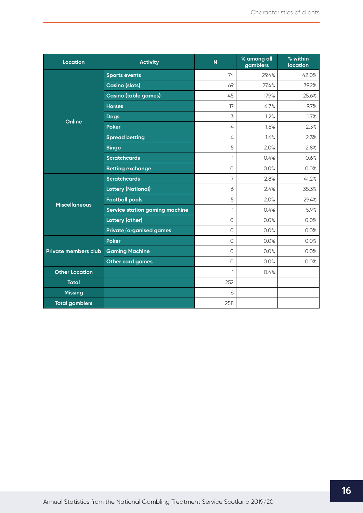| <b>Location</b>             | <b>Activity</b>                       | $\overline{\mathsf{N}}$ | % among all<br>gamblers | % within<br><b>location</b> |
|-----------------------------|---------------------------------------|-------------------------|-------------------------|-----------------------------|
|                             | <b>Sports events</b>                  | 74                      | 29.4%                   | 42.0%                       |
| Online                      | <b>Casino (slots)</b>                 | 69                      | 27.4%                   | 39.2%                       |
|                             | <b>Casino (table games)</b>           | 45                      | 17.9%                   | 25.6%                       |
|                             | <b>Horses</b>                         | 17                      | 6.7%                    | 9.7%                        |
|                             | <b>Dogs</b>                           | 3                       | 1.2%                    | 1.7%                        |
|                             | <b>Poker</b>                          | 4                       | 1.6%                    | 2.3%                        |
|                             | <b>Spread betting</b>                 | 4                       | 1.6%                    | 2.3%                        |
|                             | <b>Bingo</b>                          | 5                       | 2.0%                    | 2.8%                        |
|                             | <b>Scratchcards</b>                   | 1                       | 0.4%                    | 0.6%                        |
|                             | <b>Betting exchange</b>               | $\circ$                 | 0.0%                    | 0.0%                        |
|                             | <b>Scratchcards</b>                   | 7                       | 2.8%                    | 41.2%                       |
|                             | <b>Lottery (National)</b>             | 6                       | 2.4%                    | 35.3%                       |
| <b>Miscellaneous</b>        | <b>Football pools</b>                 | 5                       | 2.0%                    | 29.4%                       |
|                             | <b>Service station gaming machine</b> | 1                       | 0.4%                    | 5.9%                        |
|                             | <b>Lottery (other)</b>                | $\Omega$                | 0.0%                    | 0.0%                        |
|                             | Private/organised games               | $\Omega$                | 0.0%                    | 0.0%                        |
|                             | <b>Poker</b>                          | $\Omega$                | 0.0%                    | 0.0%                        |
| <b>Private members club</b> | <b>Gaming Machine</b>                 | $\circledcirc$          | 0.0%                    | 0.0%                        |
|                             | <b>Other card games</b>               | $\Omega$                | 0.0%                    | 0.0%                        |
| <b>Other Location</b>       |                                       | 1                       | 0.4%                    |                             |
| <b>Total</b>                |                                       | 252                     |                         |                             |
| <b>Missing</b>              |                                       | 6                       |                         |                             |
| <b>Total gamblers</b>       |                                       | 258                     |                         |                             |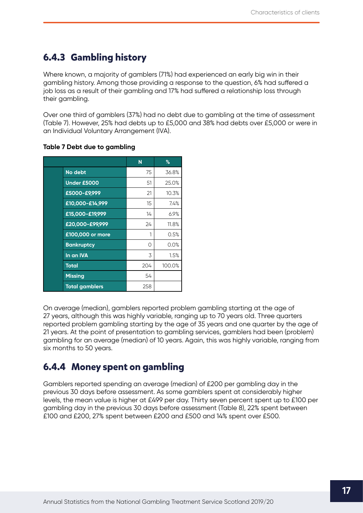## <span id="page-17-0"></span>**6.4.3 Gambling history**

Where known, a majority of gamblers (71%) had experienced an early big win in their gambling history. Among those providing a response to the question, 6% had suffered a job loss as a result of their gambling and 17% had suffered a relationship loss through their gambling.

Over one third of gamblers (37%) had no debt due to gambling at the time of assessment (Table 7). However, 25% had debts up to £5,000 and 38% had debts over £5,000 or were in an Individual Voluntary Arrangement (IVA).

|                       | N   | %      |
|-----------------------|-----|--------|
| No debt               | 75  | 36.8%  |
| Under £5000           | 51  | 25.0%  |
| £5000-£9,999          | 21  | 10.3%  |
| £10,000-£14,999       | 15  | 7.4%   |
| £15,000-£19,999       | 14  | 6.9%   |
| £20,000-£99,999       | 24  | 11.8%  |
| £100,000 or more      | 1   | 0.5%   |
| <b>Bankruptcy</b>     | 0   | 0.0%   |
| In an IVA             | 3   | 1.5%   |
| <b>Total</b>          | 204 | 100.0% |
| <b>Missing</b>        | 54  |        |
| <b>Total gamblers</b> | 258 |        |

### **Table 7 Debt due to gambling**

On average (median), gamblers reported problem gambling starting at the age of 27 years, although this was highly variable, ranging up to 70 years old. Three quarters reported problem gambling starting by the age of 35 years and one quarter by the age of 21 years. At the point of presentation to gambling services, gamblers had been (problem) gambling for an average (median) of 10 years. Again, this was highly variable, ranging from six months to 50 years.

## **6.4.4 Money spent on gambling**

Gamblers reported spending an average (median) of £200 per gambling day in the previous 30 days before assessment. As some gamblers spent at considerably higher levels, the mean value is higher at £499 per day. Thirty seven percent spent up to £100 per gambling day in the previous 30 days before assessment (Table 8), 22% spent between £100 and £200, 27% spent between £200 and £500 and 14% spent over £500.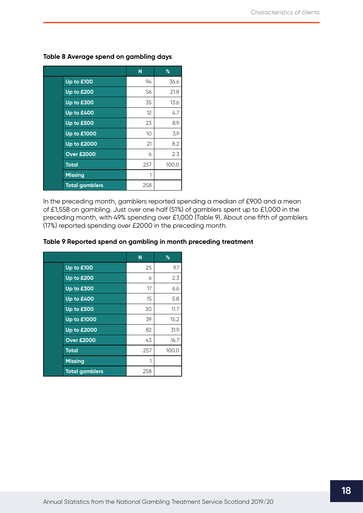|                       | N   | %     |
|-----------------------|-----|-------|
| Up to £100            | 94  | 36.6  |
| Up to £200            | 56  | 21.8  |
| Up to £300            | 35  | 13.6  |
| Up to £400            | 12  | 4.7   |
| Up to £500            | 23  | 8.9   |
| <b>Up to £1000</b>    | 10  | 3.9   |
| <b>Up to £2000</b>    | 21  | 8.2   |
| <b>Over £2000</b>     | 6   | 2.3   |
| <b>Total</b>          | 257 | 100.0 |
| <b>Missing</b>        | 1   |       |
| <b>Total gamblers</b> | 258 |       |

## **Table 8 Average spend on gambling days**

In the preceding month, gamblers reported spending a median of £900 and a mean of £1,558 on gambling. Just over one half (51%) of gamblers spent up to £1,000 in the preceding month, with 49% spending over £1,000 (Table 9). About one fifth of gamblers (17%) reported spending over £2000 in the preceding month.

#### **Table 9 Reported spend on gambling in month preceding treatment**

|                       | N   | $\%$  |
|-----------------------|-----|-------|
| Up to £100            | 25  | 9.7   |
| Up to £200            | 6   | 2.3   |
| Up to £300            | 17  | 6.6   |
| Up to £400            | 15  | 5.8   |
| Up to £500            | 30  | 11.7  |
| <b>Up to £1000</b>    | 39  | 15.2  |
| <b>Up to £2000</b>    | 82  | 31.9  |
| <b>Over £2000</b>     | 43  | 16.7  |
| <b>Total</b>          | 257 | 100.0 |
| <b>Missing</b>        | 1   |       |
| <b>Total gamblers</b> | 258 |       |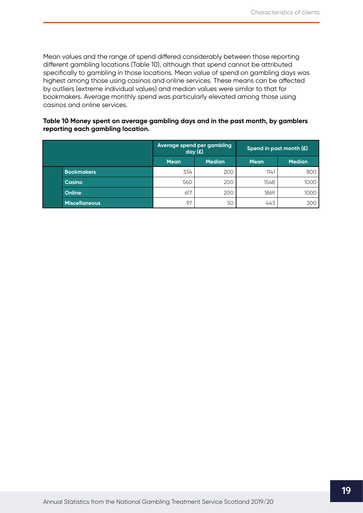Mean values and the range of spend differed considerably between those reporting different gambling locations (Table 10), although that spend cannot be attributed specifically to gambling in those locations. Mean value of spend on gambling days was highest among those using casinos and online services. These means can be affected by outliers (extreme individual values) and median values were similar to that for bookmakers. Average monthly spend was particularly elevated among those using casinos and online services.

#### **Table 10 Money spent on average gambling days and in the past month, by gamblers reporting each gambling location.**

|                      | Average spend per gambling<br>day(f) |               | Spend in past month $(E)$ |               |
|----------------------|--------------------------------------|---------------|---------------------------|---------------|
|                      | <b>Mean</b>                          | <b>Median</b> | <b>Mean</b>               | <b>Median</b> |
| <b>Bookmakers</b>    | 334                                  | 200           | 1141                      | 800           |
| Casino               | 560                                  | 200           | 1548                      | 1000          |
| Online               | 617                                  | 200           | 1869                      | 1000          |
| <b>Miscellaneous</b> | 97                                   | 50            | 443                       | 300           |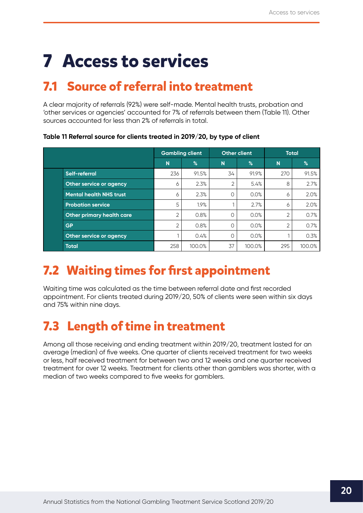# <span id="page-20-0"></span>**7 Access to services**

# **7.1 Source of referral into treatment**

A clear majority of referrals (92%) were self-made. Mental health trusts, probation and 'other services or agencies' accounted for 7% of referrals between them (Table 11). Other sources accounted for less than 2% of referrals in total.

**Table 11 Referral source for clients treated in 2019/20, by type of client**

|                                  | <b>Gambling client</b> |        |           | <b>Other client</b> |     | <b>Total</b> |
|----------------------------------|------------------------|--------|-----------|---------------------|-----|--------------|
|                                  | N                      | %      | N         | %                   | N   | %            |
| Self-referral                    | 236                    | 91.5%  | 34        | 91.9%               | 270 | 91.5%        |
| Other service or agency          | 6                      | 2.3%   | 2         | 5.4%                | 8   | 2.7%         |
| <b>Mental health NHS trust</b>   | 6                      | 2.3%   | $\bigcap$ | 0.0%                | 6   | 2.0%         |
| <b>Probation service</b>         | 5                      | 1.9%   |           | 2.7%                | 6   | 2.0%         |
| <b>Other primary health care</b> | 2                      | 0.8%   | $\Omega$  | 0.0%                | 2   | 0.7%         |
| <b>GP</b>                        | 2                      | 0.8%   | ∩         | 0.0%                | 2   | 0.7%         |
| Other service or agency          |                        | 0.4%   | $\Omega$  | 0.0%                |     | 0.3%         |
| <b>Total</b>                     | 258                    | 100.0% | 37        | 100.0%              | 295 | 100.0%       |

# **7.2 Waiting times for first appointment**

Waiting time was calculated as the time between referral date and first recorded appointment. For clients treated during 2019/20, 50% of clients were seen within six days and 75% within nine days.

# **7.3 Length of time in treatment**

Among all those receiving and ending treatment within 2019/20, treatment lasted for an average (median) of five weeks. One quarter of clients received treatment for two weeks or less, half received treatment for between two and 12 weeks and one quarter received treatment for over 12 weeks. Treatment for clients other than gamblers was shorter, with a median of two weeks compared to five weeks for gamblers.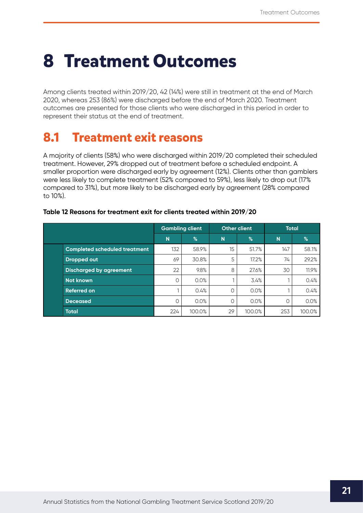# <span id="page-21-0"></span>**8 Treatment Outcomes**

Among clients treated within 2019/20, 42 (14%) were still in treatment at the end of March 2020, whereas 253 (86%) were discharged before the end of March 2020. Treatment outcomes are presented for those clients who were discharged in this period in order to represent their status at the end of treatment.

# **8.1 Treatment exit reasons**

A majority of clients (58%) who were discharged within 2019/20 completed their scheduled treatment. However, 29% dropped out of treatment before a scheduled endpoint. A smaller proportion were discharged early by agreement (12%). Clients other than gamblers were less likely to complete treatment (52% compared to 59%), less likely to drop out (17% compared to 31%), but more likely to be discharged early by agreement (28% compared to 10%).

|                                      | <b>Gambling client</b> |        |          |               | <b>Other client</b> |        | <b>Total</b> |  |
|--------------------------------------|------------------------|--------|----------|---------------|---------------------|--------|--------------|--|
|                                      | N                      | $\%$   | N        | $\frac{9}{6}$ | N                   | %      |              |  |
| <b>Completed scheduled treatment</b> | 132                    | 58.9%  | 15       | 51.7%         | 147                 | 58.1%  |              |  |
| <b>Dropped out</b>                   | 69                     | 30.8%  | 5        | 17.2%         | 74                  | 29.2%  |              |  |
| <b>Discharged by agreement</b>       | 22                     | 9.8%   | 8        | 27.6%         | 30                  | 11.9%  |              |  |
| <b>Not known</b>                     | Ο                      | 0.0%   |          | 3.4%          |                     | 0.4%   |              |  |
| <b>Referred on</b>                   |                        | 0.4%   | $\Omega$ | 0.0%          |                     | 0.4%   |              |  |
| <b>Deceased</b>                      | 0                      | 0.0%   |          | 0.0%          | 0                   | 0.0%   |              |  |
| <b>Total</b>                         | 224                    | 100.0% | 29       | 100.0%        | 253                 | 100.0% |              |  |

#### **Table 12 Reasons for treatment exit for clients treated within 2019/20**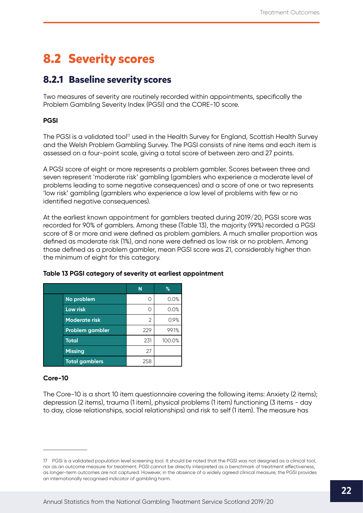# <span id="page-22-0"></span>**8.2 Severity scores**

## **8.2.1 Baseline severity scores**

Two measures of severity are routinely recorded within appointments, specifically the Problem Gambling Severity Index (PGSI) and the CORE-10 score.

## **PGSI**

The PGSI is a validated tool<sup>17</sup> used in the Health Survey for England, Scottish Health Survey and the Welsh Problem Gambling Survey. The PGSI consists of nine items and each item is assessed on a four-point scale, giving a total score of between zero and 27 points.

A PGSI score of eight or more represents a problem gambler. Scores between three and seven represent 'moderate risk' gambling (gamblers who experience a moderate level of problems leading to some negative consequences) and a score of one or two represents 'low risk' gambling (gamblers who experience a low level of problems with few or no identified negative consequences).

At the earliest known appointment for gamblers treated during 2019/20, PGSI score was recorded for 90% of gamblers. Among these (Table 13), the majority (99%) recorded a PGSI score of 8 or more and were defined as problem gamblers. A much smaller proportion was defined as moderate risk (1%), and none were defined as low risk or no problem. Among those defined as a problem gambler, mean PGSI score was 21, considerably higher than the minimum of eight for this category.

|                       | N   | %      |
|-----------------------|-----|--------|
| No problem            |     | 0.0%   |
| Low risk              |     | 0.0%   |
| <b>Moderate risk</b>  | 2   | 0.9%   |
| Problem gambler       | 229 | 99.1%  |
| <b>Total</b>          | 231 | 100.0% |
| <b>Missing</b>        | 27  |        |
| <b>Total gamblers</b> | 258 |        |

### **Table 13 PGSI category of severity at earliest appointment**

### **Core-10**

The Core-10 is a short 10 item questionnaire covering the following items: Anxiety (2 items); depression (2 items), trauma (1 item), physical problems (1 item) functioning (3 items - day to day, close relationships, social relationships) and risk to self (1 item). The measure has

<sup>17</sup> PGSI is a validated population level screening tool. It should be noted that the PGSI was not designed as a clinical tool, nor as an outcome measure for treatment. PGSI cannot be directly interpreted as a benchmark of treatment effectiveness, as longer-term outcomes are not captured. However, in the absence of a widely agreed clinical measure, the PGSI provides an internationally recognised indicator of gambling harm.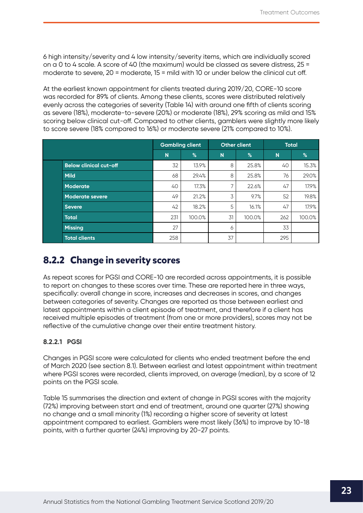<span id="page-23-0"></span>6 high intensity/severity and 4 low intensity/severity items, which are individually scored on a 0 to 4 scale. A score of 40 (the maximum) would be classed as severe distress, 25 = moderate to severe, 20 = moderate, 15 = mild with 10 or under below the clinical cut off.

At the earliest known appointment for clients treated during 2019/20, CORE-10 score was recorded for 89% of clients. Among these clients, scores were distributed relatively evenly across the categories of severity (Table 14) with around one fifth of clients scoring as severe (18%), moderate-to-severe (20%) or moderate (18%), 29% scoring as mild and 15% scoring below clinical cut-off. Compared to other clients, gamblers were slightly more likely to score severe (18% compared to 16%) or moderate severe (21% compared to 10%).

|                               | <b>Gambling client</b> |        |    | <b>Other client</b> | <b>Total</b> |        |
|-------------------------------|------------------------|--------|----|---------------------|--------------|--------|
|                               | N                      | $\%$   | N  | %                   | N            | %      |
| <b>Below clinical cut-off</b> | 32                     | 13.9%  | 8  | 25.8%               | 40           | 15.3%  |
| <b>Mild</b>                   | 68                     | 29.4%  | 8  | 25.8%               | 76           | 29.0%  |
| <b>Moderate</b>               | 40                     | 17.3%  | ⇁  | 22.6%               | 47           | 17.9%  |
| <b>Moderate severe</b>        | 49                     | 21.2%  | 3  | 9.7%                | 52           | 19.8%  |
| <b>Severe</b>                 | 42                     | 18.2%  | 5  | 16.1%               | 47           | 17.9%  |
| <b>Total</b>                  | 231                    | 100.0% | 31 | 100.0%              | 262          | 100.0% |
| <b>Missing</b>                | 27                     |        | 6  |                     | 33           |        |
| <b>Total clients</b>          | 258                    |        | 37 |                     | 295          |        |

## **8.2.2 Change in severity scores**

As repeat scores for PGSI and CORE-10 are recorded across appointments, it is possible to report on changes to these scores over time. These are reported here in three ways, specifically: overall change in score, increases and decreases in scores, and changes between categories of severity. Changes are reported as those between earliest and latest appointments within a client episode of treatment, and therefore if a client has received multiple episodes of treatment (from one or more providers), scores may not be reflective of the cumulative change over their entire treatment history.

## **8.2.2.1 PGSI**

Changes in PGSI score were calculated for clients who ended treatment before the end of March 2020 (see section 8.1). Between earliest and latest appointment within treatment where PGSI scores were recorded, clients improved, on average (median), by a score of 12 points on the PGSI scale.

Table 15 summarises the direction and extent of change in PGSI scores with the majority (72%) improving between start and end of treatment, around one quarter (27%) showing no change and a small minority (1%) recording a higher score of severity at latest appointment compared to earliest. Gamblers were most likely (36%) to improve by 10-18 points, with a further quarter (24%) improving by 20-27 points.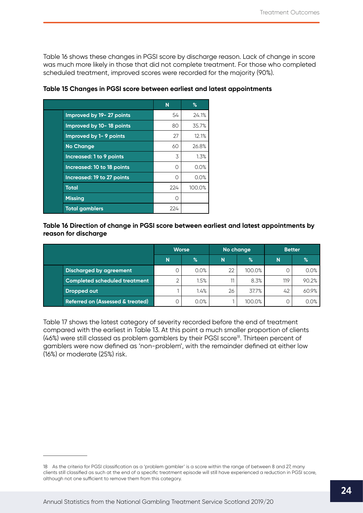Table 16 shows these changes in PGSI score by discharge reason. Lack of change in score was much more likely in those that did not complete treatment. For those who completed scheduled treatment, improved scores were recorded for the majority (90%).

|                               | N   | $\%$   |
|-------------------------------|-----|--------|
| Improved by 19-27 points      | 54  | 24.1%  |
| Improved by 10-18 points      | 80  | 35.7%  |
| <b>Improved by 1-9 points</b> | 27  | 12.1%  |
| <b>No Change</b>              | 60  | 26.8%  |
| Increased: 1 to 9 points      | 3   | 1.3%   |
| Increased: 10 to 18 points    | O   | 0.0%   |
| Increased: 19 to 27 points    | Ω   | 0.0%   |
| <b>Total</b>                  | 224 | 100.0% |
| <b>Missing</b>                | ∩   |        |
| <b>Total gamblers</b>         | 224 |        |

**Table 15 Changes in PGSI score between earliest and latest appointments** 

#### **Table 16 Direction of change in PGSI score between earliest and latest appointments by reason for discharge**

|                                             | <b>Worse</b><br>N<br>$\%$ |      | No change |        | <b>Better</b> |       |
|---------------------------------------------|---------------------------|------|-----------|--------|---------------|-------|
|                                             |                           |      | N         | %      | N             | %     |
| <b>Discharged by agreement</b>              |                           | 0.0% | 22        | 100.0% |               | 0.0%  |
| <b>Completed scheduled treatment</b>        | っ                         | 1.5% | 11        | 8.3%   | 119           | 90.2% |
| Dropped out                                 |                           | 1.4% | 26        | 37.7%  | 42            | 60.9% |
| <b>Referred on (Assessed &amp; treated)</b> |                           | 0.0% |           | 100.0% |               | 0.0%  |

Table 17 shows the latest category of severity recorded before the end of treatment compared with the earliest in Table 13. At this point a much smaller proportion of clients (46%) were still classed as problem gamblers by their PGSI score<sup>18</sup>. Thirteen percent of gamblers were now defined as 'non-problem', with the remainder defined at either low (16%) or moderate (25%) risk.

<sup>18</sup> As the criteria for PGSI classification as a 'problem gambler' is a score within the range of between 8 and 27, many clients still classified as such at the end of a specific treatment episode will still have experienced a reduction in PGSI score, although not one sufficient to remove them from this category.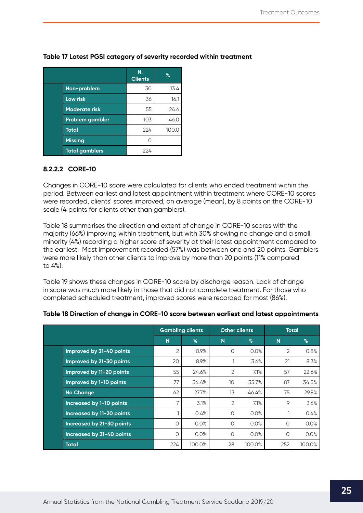|                        | N.<br><b>Clients</b> | $\%$  |
|------------------------|----------------------|-------|
| Non-problem            | 30                   | 13.4  |
| Low risk               | 36                   | 16.1  |
| <b>Moderate risk</b>   | 55                   | 24.6  |
| <b>Problem gambler</b> | 103                  | 46.0  |
| <b>Total</b>           | 224                  | 100.0 |
| <b>Missing</b>         |                      |       |
| <b>Total gamblers</b>  | 224                  |       |

## <span id="page-25-0"></span>**Table 17 Latest PGSI category of severity recorded within treatment**

### **8.2.2.2 CORE-10**

Changes in CORE-10 score were calculated for clients who ended treatment within the period. Between earliest and latest appointment within treatment where CORE-10 scores were recorded, clients' scores improved, on average (mean), by 8 points on the CORE-10 scale (4 points for clients other than gamblers).

Table 18 summarises the direction and extent of change in CORE-10 scores with the majority (66%) improving within treatment, but with 30% showing no change and a small minority (4%) recording a higher score of severity at their latest appointment compared to the earliest. Most improvement recorded (57%) was between one and 20 points. Gamblers were more likely than other clients to improve by more than 20 points (11% compared to 4%).

Table 19 shows these changes in CORE-10 score by discharge reason. Lack of change in score was much more likely in those that did not complete treatment. For those who completed scheduled treatment, improved scores were recorded for most (86%).

|                                 | <b>Gambling clients</b> |        |          | <b>Other clients</b> | <b>Total</b> |        |
|---------------------------------|-------------------------|--------|----------|----------------------|--------------|--------|
|                                 | N                       | %      | N        | %                    | N            | $\%$   |
| Improved by 31-40 points        | 2                       | 0.9%   | Ο        | 0.0%                 | 2            | 0.8%   |
| Improved by 21-30 points        | 20                      | 8.9%   |          | 3.6%                 | 21           | 8.3%   |
| Improved by 11-20 points        | 55                      | 24.6%  | 2        | 7.1%                 | 57           | 22.6%  |
| Improved by 1-10 points         | 77                      | 34.4%  | 10       | 35.7%                | 87           | 34.5%  |
| <b>No Change</b>                | 62                      | 27.7%  | 13       | 46.4%                | 75           | 29.8%  |
| <b>Increased by 1-10 points</b> | 7                       | 3.1%   | 2        | 7.1%                 | 9            | 3.6%   |
| Increased by 11-20 points       |                         | 0.4%   | $\Omega$ | 0.0%                 |              | 0.4%   |
| Increased by 21-30 points       | $\circ$                 | 0.0%   | $\Omega$ | 0.0%                 | 0            | 0.0%   |
| Increased by 31-40 points       | O                       | 0.0%   | $\Omega$ | 0.0%                 | $\circ$      | 0.0%   |
| <b>Total</b>                    | 224                     | 100.0% | 28       | 100.0%               | 252          | 100.0% |

### **Table 18 Direction of change in CORE-10 score between earliest and latest appointments**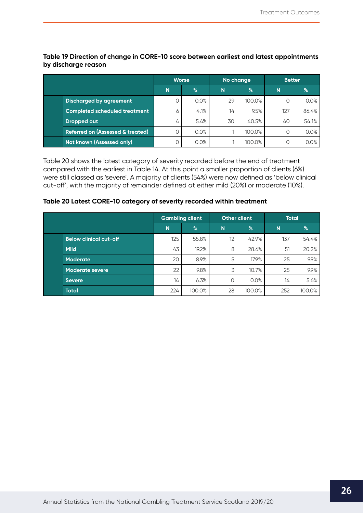**Table 19 Direction of change in CORE-10 score between earliest and latest appointments by discharge reason**

|                                             | <b>Worse</b> |      | No change |               | <b>Better</b> |       |
|---------------------------------------------|--------------|------|-----------|---------------|---------------|-------|
|                                             | N            | $\%$ | N         | $\frac{1}{2}$ | N             | $\%$  |
| <b>Discharged by agreement</b>              | 0            | 0.0% | 29        | 100.0%        |               | 0.0%  |
| <b>Completed scheduled treatment</b>        | 6            | 4.1% | 14        | 9.5%          | 127           | 86.4% |
| Dropped out                                 | 4            | 5.4% | 30        | 40.5%         | 40            | 54.1% |
| <b>Referred on (Assessed &amp; treated)</b> | 0            | 0.0% |           | 100.0%        |               | 0.0%  |
| Not known (Assessed only)                   | D            | 0.0% |           | 100.0%        |               | 0.0%  |

Table 20 shows the latest category of severity recorded before the end of treatment compared with the earliest in Table 14. At this point a smaller proportion of clients (6%) were still classed as 'severe'. A majority of clients (54%) were now defined as 'below clinical cut-off', with the majority of remainder defined at either mild (20%) or moderate (10%).

#### **Table 20 Latest CORE-10 category of severity recorded within treatment**

|                               | <b>Gambling client</b> |               | Other client |        | <b>Total</b> |               |
|-------------------------------|------------------------|---------------|--------------|--------|--------------|---------------|
|                               | N                      | $\frac{9}{6}$ | N            | %      | N            | $\frac{1}{6}$ |
| <b>Below clinical cut-off</b> | 125                    | 55.8%         | 12           | 42.9%  | 137          | 54.4%         |
| <b>Mild</b>                   | 43                     | 19.2%         | 8            | 28.6%  | 51           | 20.2%         |
| <b>Moderate</b>               | 20                     | 8.9%          | 5            | 17.9%  | 25           | 9.9%          |
| <b>Moderate severe</b>        | 22                     | 9.8%          | 3            | 10.7%  | 25           | 9.9%          |
| Severe                        | 14                     | 6.3%          | 0            | 0.0%   | 14           | 5.6%          |
| <b>Total</b>                  | 224                    | 100.0%        | 28           | 100.0% | 252          | 100.0%        |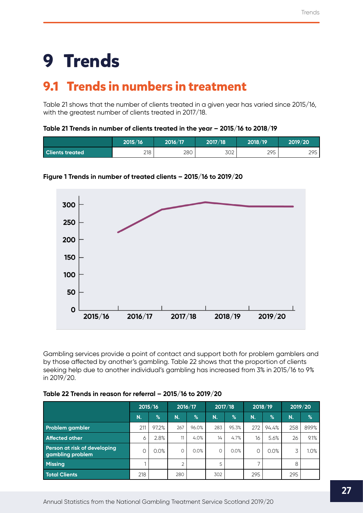# <span id="page-27-0"></span>**9 Trends**

# **9.1 Trends in numbers in treatment**

Table 21 shows that the number of clients treated in a given year has varied since 2015/16, with the greatest number of clients treated in 2017/18.

### **Table 21 Trends in number of clients treated in the year – 2015/16 to 2018/19**

|                        | 2015/16 | 2016/17 | 2017/18 | 2018/19 | 2019/20 |
|------------------------|---------|---------|---------|---------|---------|
| <b>Clients treated</b> | 218     | 280     | 302     | 295     | 295     |



## **Figure 1 Trends in number of treated clients – 2015/16 to 2019/20**

Gambling services provide a point of contact and support both for problem gamblers and by those affected by another's gambling. Table 22 shows that the proportion of clients seeking help due to another individual's gambling has increased from 3% in 2015/16 to 9% in 2019/20.

|                                                  |     | 2015/16       |     | 2017/18<br>2016/17 |     |       |     | 2018/19       |     | 2019/20 |  |
|--------------------------------------------------|-----|---------------|-----|--------------------|-----|-------|-----|---------------|-----|---------|--|
|                                                  | N.  | $\frac{1}{6}$ | N.  | $\%$               | N.  | %     | N.  | $\frac{1}{2}$ | N.  | %       |  |
| <b>Problem gambler</b>                           | 211 | 97.2%         | 267 | 96.0%              | 283 | 95.3% | 272 | 94.4%         | 258 | 89.9%   |  |
| <b>Affected other</b>                            | 6   | 2.8%          | 11  | 4.0%               | 14  | 4.7%  | 16  | 5.6%          | 26  | 9.1%    |  |
| Person at risk of developing<br>gambling problem | Ο   | 0.0%          | 0   | 0.0%               | 0   | 0.0%  | 0   | 0.0%          | 3   | 1.0%    |  |
| <b>Missing</b>                                   |     |               | ⌒   |                    | 5   |       |     |               | 8   |         |  |
| <b>Total Clients</b>                             | 218 |               | 280 |                    | 302 |       | 295 |               | 295 |         |  |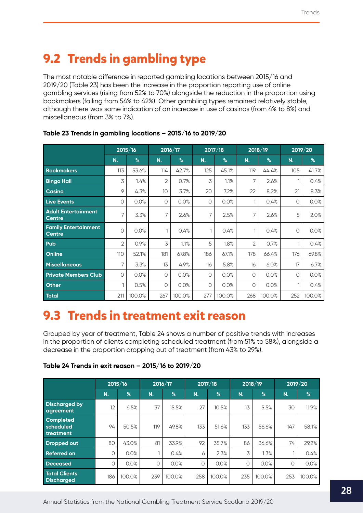# <span id="page-28-0"></span>**9.2 Trends in gambling type**

The most notable difference in reported gambling locations between 2015/16 and 2019/20 (Table 23) has been the increase in the proportion reporting use of online gambling services (rising from 52% to 70%) alongside the reduction in the proportion using bookmakers (falling from 54% to 42%). Other gambling types remained relatively stable, although there was some indication of an increase in use of casinos (from 4% to 8%) and miscellaneous (from 3% to 7%).

|                                              |         | 2015/16 |     | 2016/17 |          | 2017/18 |     | 2018/19 | 2019/20 |        |
|----------------------------------------------|---------|---------|-----|---------|----------|---------|-----|---------|---------|--------|
|                                              | N.      | %       | N.  | %       | N.       | %       | N.  | %       | N.      | %      |
| <b>Bookmakers</b>                            | 113     | 53.6%   | 114 | 42.7%   | 125      | 45.1%   | 119 | 44.4%   | 105     | 41.7%  |
| <b>Bingo Hall</b>                            | 3       | 1.4%    | 2   | 0.7%    | 3        | 1.1%    | 7   | 2.6%    |         | 0.4%   |
| <b>Casino</b>                                | 9       | 4.3%    | 10  | 3.7%    | 20       | 7.2%    | 22  | 8.2%    | 21      | 8.3%   |
| <b>Live Events</b>                           | 0       | 0.0%    | 0   | 0.0%    | $\circ$  | 0.0%    | 1   | 0.4%    | 0       | 0.0%   |
| <b>Adult Entertainment</b><br><b>Centre</b>  | 7       | 3.3%    | 7   | 2.6%    | 7        | 2.5%    | 7   | 2.6%    | 5       | 2.0%   |
| <b>Family Entertainment</b><br><b>Centre</b> | $\circ$ | 0.0%    |     | 0.4%    | 1        | 0.4%    | 1   | 0.4%    | 0       | 0.0%   |
| Pub                                          | 2       | 0.9%    | 3   | 1.1%    | 5        | 1.8%    | 2   | 0.7%    |         | 0.4%   |
| Online                                       | 110     | 52.1%   | 181 | 67.8%   | 186      | 67.1%   | 178 | 66.4%   | 176     | 69.8%  |
| <b>Miscellaneous</b>                         | 7       | 3.3%    | 13  | 4.9%    | 16       | 5.8%    | 16  | 6.0%    | 17      | 6.7%   |
| <b>Private Members Club</b>                  | $\circ$ | 0.0%    | 0   | 0.0%    | $\Omega$ | 0.0%    | 0   | 0.0%    | 0       | 0.0%   |
| Other                                        | 1       | 0.5%    | 0   | 0.0%    | $\circ$  | 0.0%    | 0   | 0.0%    |         | 0.4%   |
| <b>Total</b>                                 | 211     | 100.0%  | 267 | 100.0%  | 277      | 100.0%  | 268 | 100.0%  | 252     | 100.0% |

## **Table 23 Trends in gambling locations – 2015/16 to 2019/20**

# **9.3 Trends in treatment exit reason**

Grouped by year of treatment, Table 24 shows a number of positive trends with increases in the proportion of clients completing scheduled treatment (from 51% to 58%), alongside a decrease in the proportion dropping out of treatment (from 43% to 29%).

| Table 24 Trends in exit reason - 2015/16 to 2019/20 |  |
|-----------------------------------------------------|--|
|-----------------------------------------------------|--|

|                                            | 2015/16 |        |     | 2017/18<br>2016/17 |     |        |     | 2018/19 | 2019/20 |        |
|--------------------------------------------|---------|--------|-----|--------------------|-----|--------|-----|---------|---------|--------|
|                                            | N.      | %      | N.  | $\%$               | N.  | %      | N.  | %       | N.      | %      |
| <b>Discharged by</b><br>agreement          | 12      | 6.5%   | 37  | 15.5%              | 27  | 10.5%  | 13  | 5.5%    | 30      | 11.9%  |
| <b>Completed</b><br>scheduled<br>treatment | 94      | 50.5%  | 119 | 49.8%              | 133 | 51.6%  | 133 | 56.6%   | 147     | 58.1%  |
| <b>Dropped out</b>                         | 80      | 43.0%  | 81  | 33.9%              | 92  | 35.7%  | 86  | 36.6%   | 74      | 29.2%  |
| <b>Referred on</b>                         | 0       | 0.0%   |     | 0.4%               | 6   | 2.3%   | 3   | 1.3%    |         | 0.4%   |
| <b>Deceased</b>                            | O       | 0.0%   | 0   | 0.0%               | 0   | 0.0%   | O   | 0.0%    | $\circ$ | 0.0%   |
| <b>Total Clients</b><br><b>Discharged</b>  | 186     | 100.0% | 239 | 100.0%             | 258 | 100.0% | 235 | 100.0%  | 253     | 100.0% |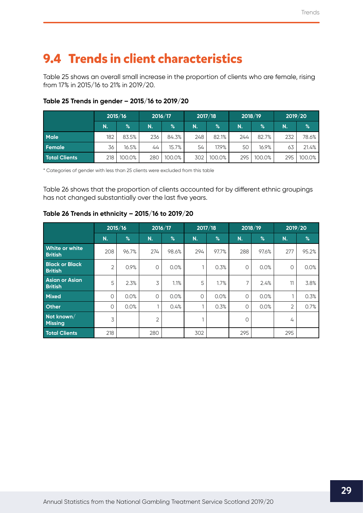# <span id="page-29-0"></span>**9.4 Trends in client characteristics**

Table 25 shows an overall small increase in the proportion of clients who are female, rising from 17% in 2015/16 to 21% in 2019/20.

|                      | 2015/16          |        | 2017/18<br>2016/17 |        | 2018/19 |        |     | 2019/20 |     |        |
|----------------------|------------------|--------|--------------------|--------|---------|--------|-----|---------|-----|--------|
|                      | N.               | $\%$   | N.                 | $\%$   | N.      | %      | N.  | %       | N.  | $\%$   |
| <b>Male</b>          | 182              | 83.5%  | 236                | 84.3%  | 248     | 82.1%  | 244 | 82.7%   | 232 | 78.6%  |
| Female               | 36               | 16.5%  | 44                 | 15.7%  | 54      | 17.9%  | 50  | 16.9%   | 63  | 21.4%  |
| <b>Total Clients</b> | 218 <sub>1</sub> | 100.0% | 280                | 100.0% | 302     | 100.0% | 295 | 100.0%  | 295 | 100.0% |

## **Table 25 Trends in gender – 2015/16 to 2019/20**

\* Categories of gender with less than 25 clients were excluded from this table

Table 26 shows that the proportion of clients accounted for by different ethnic groupings has not changed substantially over the last five years.

## **Table 26 Trends in ethnicity – 2015/16 to 2019/20**

|                                         | 2015/16        |       | 2016/17        |       | 2017/18<br>2018/19 |       | 2019/20 |       |         |       |
|-----------------------------------------|----------------|-------|----------------|-------|--------------------|-------|---------|-------|---------|-------|
|                                         | N.             | $\%$  | N.             | $\%$  | N.                 | $\%$  | N.      | $\%$  | N.      | $\%$  |
| White or white<br><b>British</b>        | 208            | 96.7% | 274            | 98.6% | 294                | 97.7% | 288     | 97.6% | 277     | 95.2% |
| <b>Black or Black</b><br><b>British</b> | $\overline{2}$ | 0.9%  | $\circ$        | 0.0%  |                    | 0.3%  | 0       | 0.0%  | $\circ$ | 0.0%  |
| Asian or Asian<br><b>British</b>        | 5              | 2.3%  | 3              | 1.1%  | 5                  | 1.7%  | 7       | 2.4%  | 11      | 3.8%  |
| <b>Mixed</b>                            | $\circ$        | 0.0%  | $\circ$        | 0.0%  | 0                  | 0.0%  | 0       | 0.0%  | n.      | 0.3%  |
| <b>Other</b>                            | $\circ$        | 0.0%  |                | 0.4%  |                    | 0.3%  | 0       | 0.0%  | 2       | 0.7%  |
| Not known/<br><b>Missing</b>            | 3              |       | $\overline{2}$ |       |                    |       | 0       |       | 4       |       |
| <b>Total Clients</b>                    | 218            |       | 280            |       | 302                |       | 295     |       | 295     |       |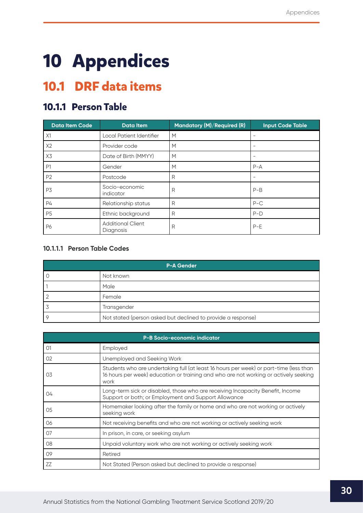# <span id="page-30-0"></span>**10 Appendices**

# **10.1 DRF data items**

## **10.1.1 Person Table**

| <b>Data Item Code</b> | <b>Data Item</b>                      | Mandatory (M)/Required (R) | <b>Input Code Table</b> |
|-----------------------|---------------------------------------|----------------------------|-------------------------|
| X1                    | Local Patient Identifier              | M                          |                         |
| X2                    | Provider code                         | M                          | -                       |
| X3                    | Date of Birth (MMYY)                  | M                          |                         |
| P <sub>1</sub>        | Gender                                | M                          | $P - A$                 |
| P <sub>2</sub>        | Postcode                              | R                          |                         |
| P3                    | Socio-economic<br>indicator           | R                          | $P-B$                   |
| P4                    | Relationship status                   | R                          | $P-C$                   |
| P <sub>5</sub>        | Ethnic background                     | R                          | $P-D$                   |
| P6                    | <b>Additional Client</b><br>Diagnosis | R                          | $P-E$                   |

## **10.1.1.1 Person Table Codes**

| <b>P-A Gender</b>                                            |  |  |  |  |  |  |
|--------------------------------------------------------------|--|--|--|--|--|--|
| Not known                                                    |  |  |  |  |  |  |
| Male                                                         |  |  |  |  |  |  |
| Female                                                       |  |  |  |  |  |  |
| Transgender                                                  |  |  |  |  |  |  |
| Not stated (person asked but declined to provide a response) |  |  |  |  |  |  |

|                | <b>P-B Socio-economic indicator</b>                                                                                                                                                    |
|----------------|----------------------------------------------------------------------------------------------------------------------------------------------------------------------------------------|
| O <sub>1</sub> | Employed                                                                                                                                                                               |
| 02             | Unemployed and Seeking Work                                                                                                                                                            |
| 03             | Students who are undertaking full (at least 16 hours per week) or part-time (less than<br>16 hours per week) education or training and who are not working or actively seeking<br>work |
| 04             | Long-term sick or disabled, those who are receiving Incapacity Benefit, Income<br>Support or both; or Employment and Support Allowance                                                 |
| 05             | Homemaker looking after the family or home and who are not working or actively<br>seeking work                                                                                         |
| 06             | Not receiving benefits and who are not working or actively seeking work                                                                                                                |
| 07             | In prison, in care, or seeking asylum                                                                                                                                                  |
| 08             | Unpaid voluntary work who are not working or actively seeking work                                                                                                                     |
| 09             | Retired                                                                                                                                                                                |
| ZZ             | Not Stated (Person asked but declined to provide a response)                                                                                                                           |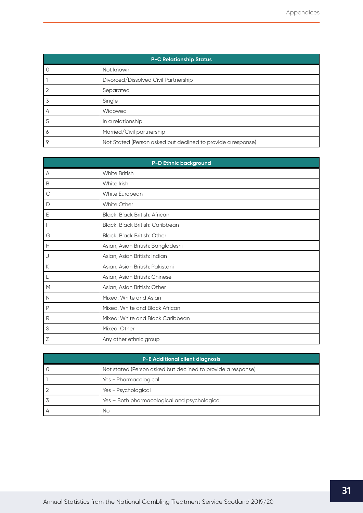| <b>P-C Relationship Status</b> |                                                              |  |  |  |  |  |  |
|--------------------------------|--------------------------------------------------------------|--|--|--|--|--|--|
| U                              | Not known                                                    |  |  |  |  |  |  |
|                                | Divorced/Dissolved Civil Partnership                         |  |  |  |  |  |  |
|                                | Separated                                                    |  |  |  |  |  |  |
| 3                              | Single                                                       |  |  |  |  |  |  |
| 4                              | Widowed                                                      |  |  |  |  |  |  |
| 5                              | In a relationship                                            |  |  |  |  |  |  |
| Ô                              | Married/Civil partnership                                    |  |  |  |  |  |  |
| 9                              | Not Stated (Person asked but declined to provide a response) |  |  |  |  |  |  |

| <b>P-D Ethnic background</b> |                                   |  |
|------------------------------|-----------------------------------|--|
| A                            | White British                     |  |
| B                            | White Irish                       |  |
| $\mathsf C$                  | White European                    |  |
| D                            | <b>White Other</b>                |  |
| Ε                            | Black, Black British: African     |  |
| F                            | Black, Black British: Caribbean   |  |
| G                            | Black, Black British: Other       |  |
| Н                            | Asian, Asian British: Bangladeshi |  |
| J                            | Asian, Asian British: Indian      |  |
| К                            | Asian, Asian British: Pakistani   |  |
| L                            | Asian, Asian British: Chinese     |  |
| M                            | Asian, Asian British: Other       |  |
| N                            | Mixed: White and Asian            |  |
| P                            | Mixed, White and Black African    |  |
| R                            | Mixed: White and Black Caribbean  |  |
| S                            | Mixed: Other                      |  |
| Ζ                            | Any other ethnic group            |  |

| <b>P-E Additional client diagnosis</b> |                                                              |  |
|----------------------------------------|--------------------------------------------------------------|--|
|                                        | Not stated (Person asked but declined to provide a response) |  |
|                                        | Yes - Pharmacological                                        |  |
|                                        | Yes - Psychological                                          |  |
|                                        | Yes - Both pharmacological and psychological                 |  |
|                                        | Nο                                                           |  |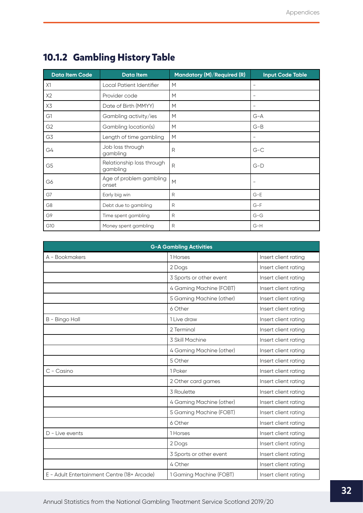| <b>Data Item Code</b> | <b>Data Item</b>                      | Mandatory (M)/Required (R) | <b>Input Code Table</b>  |
|-----------------------|---------------------------------------|----------------------------|--------------------------|
| X1                    | Local Patient Identifier              | M                          | $\overline{\phantom{m}}$ |
| X2                    | Provider code                         | M                          | $\overline{\phantom{m}}$ |
| X3                    | Date of Birth (MMYY)                  | M                          |                          |
| G1                    | Gambling activity/ies                 | M                          | $G-A$                    |
| G <sub>2</sub>        | Gambling location(s)                  | M                          | $G-B$                    |
| G3                    | Length of time gambling               | M                          |                          |
| G4                    | Job loss through<br>gambling          | R                          | $G-C$                    |
| G <sub>5</sub>        | Relationship loss through<br>gambling | R                          | $G-D$                    |
| G6                    | Age of problem gambling<br>onset      | M                          | $\overline{\phantom{m}}$ |
| G7                    | Early big win                         | R                          | $G-E$                    |
| G <sub>8</sub>        | Debt due to gambling                  | R                          | $G-F$                    |
| G9                    | Time spent gambling                   | R                          | $G-G$                    |
| G10                   | Money spent gambling                  | R                          | $G-H$                    |

## <span id="page-32-0"></span>**10.1.2 Gambling History Table**

|                                             | <b>G-A Gambling Activities</b> |                      |
|---------------------------------------------|--------------------------------|----------------------|
| A - Bookmakers                              | 1 Horses                       | Insert client rating |
|                                             | 2 Dogs                         | Insert client rating |
|                                             | 3 Sports or other event        | Insert client rating |
|                                             | 4 Gaming Machine (FOBT)        | Insert client rating |
|                                             | 5 Gaming Machine (other)       | Insert client rating |
|                                             | 6 Other                        | Insert client rating |
| B - Bingo Hall                              | 1 Live draw                    | Insert client rating |
|                                             | 2 Terminal                     | Insert client rating |
|                                             | 3 Skill Machine                | Insert client rating |
|                                             | 4 Gaming Machine (other)       | Insert client rating |
|                                             | 5 Other                        | Insert client rating |
| C - Casino                                  | 1 Poker                        | Insert client rating |
|                                             | 2 Other card games             | Insert client rating |
|                                             | 3 Roulette                     | Insert client rating |
|                                             | 4 Gaming Machine (other)       | Insert client rating |
|                                             | 5 Gaming Machine (FOBT)        | Insert client rating |
|                                             | 6 Other                        | Insert client rating |
| $D$ - Live events                           | 1 Horses                       | Insert client rating |
|                                             | 2 Dogs                         | Insert client rating |
|                                             | 3 Sports or other event        | Insert client rating |
|                                             | 4 Other                        | Insert client rating |
| E - Adult Entertainment Centre (18+ Arcade) | 1 Gaming Machine (FOBT)        | Insert client rating |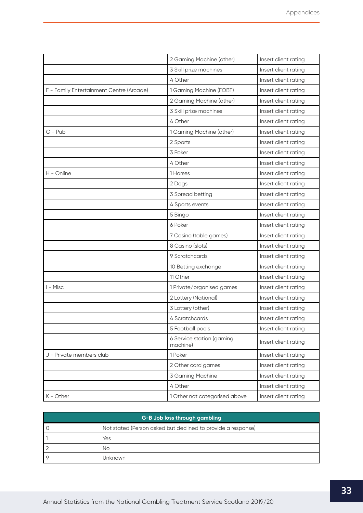|                                          | 2 Gaming Machine (other)              | Insert client rating |
|------------------------------------------|---------------------------------------|----------------------|
|                                          | 3 Skill prize machines                | Insert client rating |
|                                          | 4 Other                               | Insert client rating |
| F - Family Entertainment Centre (Arcade) | 1 Gaming Machine (FOBT)               | Insert client rating |
|                                          | 2 Gaming Machine (other)              | Insert client rating |
|                                          | 3 Skill prize machines                | Insert client rating |
|                                          | 4 Other                               | Insert client rating |
| G - Pub                                  | 1 Gaming Machine (other)              | Insert client rating |
|                                          | 2 Sports                              | Insert client rating |
|                                          | 3 Poker                               | Insert client rating |
|                                          | 4 Other                               | Insert client rating |
| H - Online                               | 1 Horses                              | Insert client rating |
|                                          | 2 Dogs                                | Insert client rating |
|                                          | 3 Spread betting                      | Insert client rating |
|                                          | 4 Sports events                       | Insert client rating |
|                                          | 5 Bingo                               | Insert client rating |
|                                          | 6 Poker                               | Insert client rating |
|                                          | 7 Casino (table games)                | Insert client rating |
|                                          | 8 Casino (slots)                      | Insert client rating |
|                                          | 9 Scratchcards                        | Insert client rating |
|                                          | 10 Betting exchange                   | Insert client rating |
|                                          | 11 Other                              | Insert client rating |
| I - Misc                                 | 1 Private/organised games             | Insert client rating |
|                                          | 2 Lottery (National)                  | Insert client rating |
|                                          | 3 Lottery (other)                     | Insert client rating |
|                                          | 4 Scratchcards                        | Insert client rating |
|                                          | 5 Football pools                      | Insert client rating |
|                                          | 6 Service station (gaming<br>machine) | Insert client rating |
| J - Private members club                 | 1 Poker                               | Insert client rating |
|                                          | 2 Other card games                    | Insert client rating |
|                                          | 3 Gaming Machine                      | Insert client rating |
|                                          | 4 Other                               | Insert client rating |
| K - Other                                | 1 Other not categorised above         | Insert client rating |

| G-B Job loss through gambling |                                                              |  |
|-------------------------------|--------------------------------------------------------------|--|
| O                             | Not stated (Person asked but declined to provide a response) |  |
|                               | Yes                                                          |  |
|                               | No                                                           |  |
| O                             | Jnknown                                                      |  |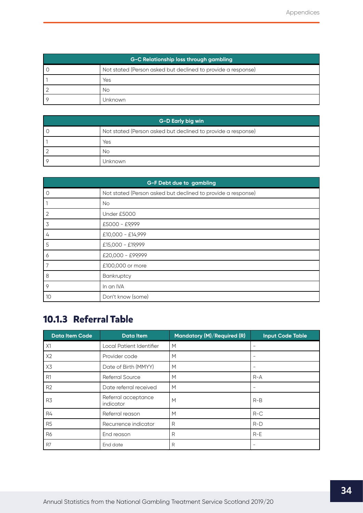<span id="page-34-0"></span>

| G-C Relationship loss through gambling |                                                              |  |
|----------------------------------------|--------------------------------------------------------------|--|
|                                        | Not stated (Person asked but declined to provide a response) |  |
|                                        | Yes                                                          |  |
|                                        | No                                                           |  |
|                                        | Unknown                                                      |  |

| G-D Early big win |                                                              |  |
|-------------------|--------------------------------------------------------------|--|
|                   | Not stated (Person asked but declined to provide a response) |  |
|                   | Yes                                                          |  |
|                   | No                                                           |  |
|                   | Unknown                                                      |  |

| <b>G-F Debt due to gambling</b> |                                                              |  |
|---------------------------------|--------------------------------------------------------------|--|
| $\circ$                         | Not stated (Person asked but declined to provide a response) |  |
| $\overline{1}$                  | <b>No</b>                                                    |  |
| $\overline{2}$                  | Under £5000                                                  |  |
| 3                               | £5000 - £9,999                                               |  |
| 4                               | £10,000 - £14,999                                            |  |
| 5                               | £15,000 - £19,999                                            |  |
| 6                               | £20,000 - £99,999                                            |  |
| 7                               | £100,000 or more                                             |  |
| 8                               | Bankruptcy                                                   |  |
| 9                               | In an IVA                                                    |  |
| 10                              | Don't know (some)                                            |  |

## **10.1.3 Referral Table**

| <b>Data Item Code</b> | <b>Data Item</b>                 | Mandatory (M)/Required (R) | <b>Input Code Table</b> |
|-----------------------|----------------------------------|----------------------------|-------------------------|
| X1                    | Local Patient Identifier         | M                          |                         |
| X2                    | Provider code                    | M                          |                         |
| X3                    | Date of Birth (MMYY)             | M                          |                         |
| R <sub>1</sub>        | <b>Referral Source</b>           | M                          | $R - A$                 |
| R <sub>2</sub>        | Date referral received           | M                          |                         |
| R3                    | Referral acceptance<br>indicator | M                          | $R-B$                   |
| R4                    | Referral reason                  | M                          | $R-C$                   |
| R <sub>5</sub>        | Recurrence indicator             | R                          | $R-D$                   |
| <b>R6</b>             | End reason                       | R                          | $R-E$                   |
| R7                    | End date                         | R                          |                         |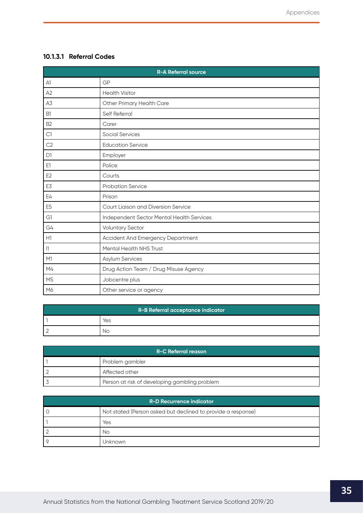## <span id="page-35-0"></span>**10.1.3.1 Referral Codes**

| <b>R-A Referral source</b> |                                           |  |
|----------------------------|-------------------------------------------|--|
| A1                         | GP                                        |  |
| A2                         | <b>Health Visitor</b>                     |  |
| A3                         | Other Primary Health Care                 |  |
| <b>B1</b>                  | Self Referral                             |  |
| B <sub>2</sub>             | Carer                                     |  |
| C1                         | <b>Social Services</b>                    |  |
| C <sub>2</sub>             | <b>Education Service</b>                  |  |
| D <sub>1</sub>             | Employer                                  |  |
| E1                         | Police                                    |  |
| E <sub>2</sub>             | Courts                                    |  |
| E3                         | <b>Probation Service</b>                  |  |
| E4                         | Prison                                    |  |
| E <sub>5</sub>             | Court Liaison and Diversion Service       |  |
| G1                         | Independent Sector Mental Health Services |  |
| G4                         | <b>Voluntary Sector</b>                   |  |
| H1                         | Accident And Emergency Department         |  |
| 1                          | Mental Health NHS Trust                   |  |
| M1                         | Asylum Services                           |  |
| M4                         | Drug Action Team / Drug Misuse Agency     |  |
| M <sub>5</sub>             | Jobcentre plus                            |  |
| M6                         | Other service or agency                   |  |

| R-B Referral acceptance indicator |     |
|-----------------------------------|-----|
|                                   | Yes |
|                                   | NΟ  |

| R-C Referral reason |                                               |  |  |
|---------------------|-----------------------------------------------|--|--|
|                     | Problem gambler                               |  |  |
|                     | Affected other                                |  |  |
|                     | Person at risk of developing gambling problem |  |  |

| <b>R-D Recurrence indicator</b> |                                                              |  |  |
|---------------------------------|--------------------------------------------------------------|--|--|
|                                 | Not stated (Person asked but declined to provide a response) |  |  |
|                                 | Yes                                                          |  |  |
|                                 | No                                                           |  |  |
|                                 | Unknown                                                      |  |  |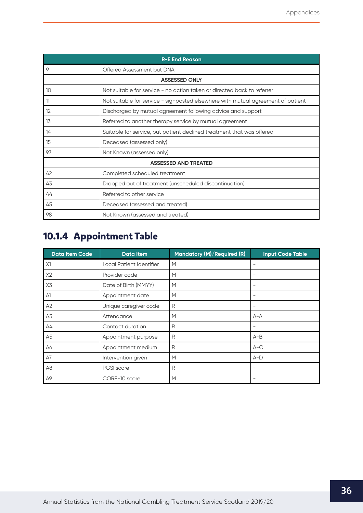<span id="page-36-0"></span>

| <b>R-E End Reason</b> |                                                                                  |  |  |  |
|-----------------------|----------------------------------------------------------------------------------|--|--|--|
| 9                     | Offered Assessment but DNA                                                       |  |  |  |
| <b>ASSESSED ONLY</b>  |                                                                                  |  |  |  |
| 10                    | Not suitable for service - no action taken or directed back to referrer          |  |  |  |
| 11                    | Not suitable for service - signposted elsewhere with mutual agreement of patient |  |  |  |
| 12                    | Discharged by mutual agreement following advice and support                      |  |  |  |
| 13                    | Referred to another therapy service by mutual agreement                          |  |  |  |
| 14                    | Suitable for service, but patient declined treatment that was offered            |  |  |  |
| 15                    | Deceased (assessed only)                                                         |  |  |  |
| 97                    | Not Known (assessed only)                                                        |  |  |  |
|                       | <b>ASSESSED AND TREATED</b>                                                      |  |  |  |
| 42                    | Completed scheduled treatment                                                    |  |  |  |
| 43                    | Dropped out of treatment (unscheduled discontinuation)                           |  |  |  |
| 44                    | Referred to other service                                                        |  |  |  |
| 45                    | Deceased (assessed and treated)                                                  |  |  |  |
| 98                    | Not Known (assessed and treated)                                                 |  |  |  |

## **10.1.4 Appointment Table**

| <b>Data Item Code</b> | <b>Data Item</b>         | Mandatory (M)/Required (R) | <b>Input Code Table</b>  |
|-----------------------|--------------------------|----------------------------|--------------------------|
| X1                    | Local Patient Identifier | M                          | $\overline{\phantom{0}}$ |
| X2                    | Provider code            | M                          |                          |
| X3                    | Date of Birth (MMYY)     | M                          | $\qquad \qquad -$        |
| A1                    | Appointment date         | M                          | $\qquad \qquad -$        |
| A2                    | Unique caregiver code    | R                          | $\qquad \qquad -$        |
| A3                    | Attendance               | М                          | $A - A$                  |
| A4                    | Contact duration         | R                          |                          |
| A5                    | Appointment purpose      | R                          | $A-B$                    |
| A6                    | Appointment medium       | R                          | $A-C$                    |
| A7                    | Intervention given       | M                          | $A-D$                    |
| A8                    | PGSI score               | R                          | -                        |
| A9                    | CORE-10 score            | М                          |                          |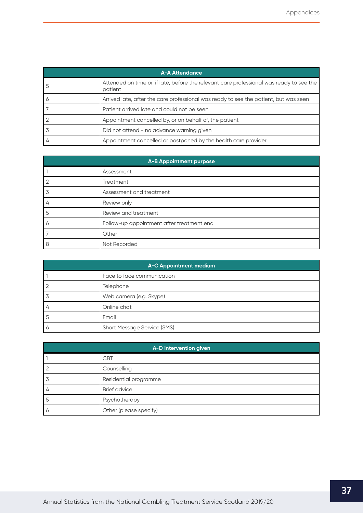<span id="page-37-0"></span>

| <b>A-A Attendance</b> |                                                                                                     |  |  |
|-----------------------|-----------------------------------------------------------------------------------------------------|--|--|
|                       | Attended on time or, if late, before the relevant care professional was ready to see the<br>patient |  |  |
|                       | Arrived late, after the care professional was ready to see the patient, but was seen                |  |  |
|                       | Patient arrived late and could not be seen                                                          |  |  |
|                       | Appointment cancelled by, or on behalf of, the patient                                              |  |  |
|                       | Did not attend - no advance warning given                                                           |  |  |
|                       | Appointment cancelled or postponed by the health care provider                                      |  |  |

| A-B Appointment purpose |                                           |  |  |
|-------------------------|-------------------------------------------|--|--|
|                         | Assessment                                |  |  |
|                         | Treatment                                 |  |  |
|                         | Assessment and treatment                  |  |  |
|                         | Review only                               |  |  |
| כ                       | Review and treatment                      |  |  |
|                         | Follow-up appointment after treatment end |  |  |
|                         | Other                                     |  |  |
| 8                       | Not Recorded                              |  |  |

| A-C Appointment medium |                             |  |  |
|------------------------|-----------------------------|--|--|
|                        | Face to face communication  |  |  |
|                        | Telephone                   |  |  |
|                        | Web camera (e.g. Skype)     |  |  |
| 4                      | Online chat                 |  |  |
|                        | Email                       |  |  |
| O                      | Short Message Service (SMS) |  |  |

| A-D Intervention given |                        |  |  |
|------------------------|------------------------|--|--|
|                        | <b>CBT</b>             |  |  |
|                        | Counselling            |  |  |
|                        | Residential programme  |  |  |
| 4                      | <b>Brief advice</b>    |  |  |
|                        | Psychotherapy          |  |  |
| Ó                      | Other (please specify) |  |  |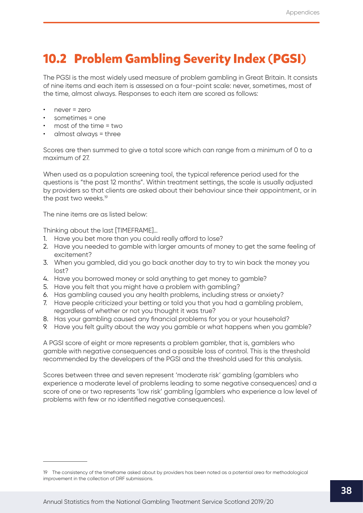# <span id="page-38-0"></span>**10.2 Problem Gambling Severity Index (PGSI)**

The PGSI is the most widely used measure of problem gambling in Great Britain. It consists of nine items and each item is assessed on a four-point scale: never, sometimes, most of the time, almost always. Responses to each item are scored as follows:

- never = zero
- sometimes = one
- most of the time = two
- almost always = three

Scores are then summed to give a total score which can range from a minimum of 0 to a maximum of 27.

When used as a population screening tool, the typical reference period used for the questions is "the past 12 months". Within treatment settings, the scale is usually adjusted by providers so that clients are asked about their behaviour since their appointment, or in the past two weeks.<sup>19</sup>

The nine items are as listed below:

Thinking about the last [TIMEFRAME]…

- 1. Have you bet more than you could really afford to lose?
- 2. Have you needed to gamble with larger amounts of money to get the same feeling of excitement?
- 3. When you gambled, did you go back another day to try to win back the money you lost?
- 4. Have you borrowed money or sold anything to get money to gamble?
- 5. Have you felt that you might have a problem with gambling?
- 6. Has gambling caused you any health problems, including stress or anxiety?
- 7. Have people criticized your betting or told you that you had a gambling problem, regardless of whether or not you thought it was true?
- 8. Has your gambling caused any financial problems for you or your household?
- 9. Have you felt guilty about the way you gamble or what happens when you gamble?

A PGSI score of eight or more represents a problem gambler, that is, gamblers who gamble with negative consequences and a possible loss of control. This is the threshold recommended by the developers of the PGSI and the threshold used for this analysis.

Scores between three and seven represent 'moderate risk' gambling (gamblers who experience a moderate level of problems leading to some negative consequences) and a score of one or two represents 'low risk' gambling (gamblers who experience a low level of problems with few or no identified negative consequences).

<sup>19</sup> The consistency of the timeframe asked about by providers has been noted as a potential area for methodological improvement in the collection of DRF submissions.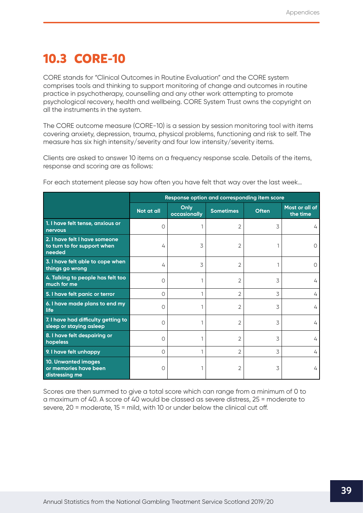# <span id="page-39-0"></span>**10.3 CORE-10**

CORE stands for "Clinical Outcomes in Routine Evaluation" and the CORE system comprises tools and thinking to support monitoring of change and outcomes in routine practice in psychotherapy, counselling and any other work attempting to promote psychological recovery, health and wellbeing. CORE System Trust owns the copyright on all the instruments in the system.

The CORE outcome measure (CORE-10) is a session by session monitoring tool with items covering anxiety, depression, trauma, physical problems, functioning and risk to self. The measure has six high intensity/severity and four low intensity/severity items.

Clients are asked to answer 10 items on a frequency response scale. Details of the items, response and scoring are as follows:

|                                                                        | Response option and corresponding item score |                      |                  |              |                            |
|------------------------------------------------------------------------|----------------------------------------------|----------------------|------------------|--------------|----------------------------|
|                                                                        | Not at all                                   | Only<br>occasionally | <b>Sometimes</b> | <b>Often</b> | Most or all of<br>the time |
| 1. I have felt tense, anxious or<br>nervous                            | 0                                            |                      | 2                | 3            | 4                          |
| 2. I have felt I have someone<br>to turn to for support when<br>needed | 4                                            | 3                    | 2                |              |                            |
| 3. I have felt able to cope when<br>things go wrong                    | 4                                            | 3                    | 2                |              |                            |
| 4. Talking to people has felt too<br>much for me                       | $\circ$                                      |                      | 2                | 3            | 4                          |
| 5. I have felt panic or terror                                         | $\Omega$                                     |                      | 2                | 3            | 4                          |
| 6. I have made plans to end my<br>life                                 | $\circ$                                      |                      | 2                | 3            | 4                          |
| 7. I have had difficulty getting to<br>sleep or staying asleep         | $\circ$                                      |                      | 2                | 3            | 4                          |
| 8. I have felt despairing or<br>hopeless                               | $\Omega$                                     |                      | 2                | 3            | 4                          |
| 9. I have felt unhappy                                                 | $\circ$                                      |                      | 2                | 3            | 4                          |
| 10. Unwanted images<br>or memories have been<br>distressing me         | $\circ$                                      |                      | 2                | 3            | 4                          |

For each statement please say how often you have felt that way over the last week…

Scores are then summed to give a total score which can range from a minimum of 0 to a maximum of 40. A score of 40 would be classed as severe distress, 25 = moderate to severe, 20 = moderate, 15 = mild, with 10 or under below the clinical cut off.